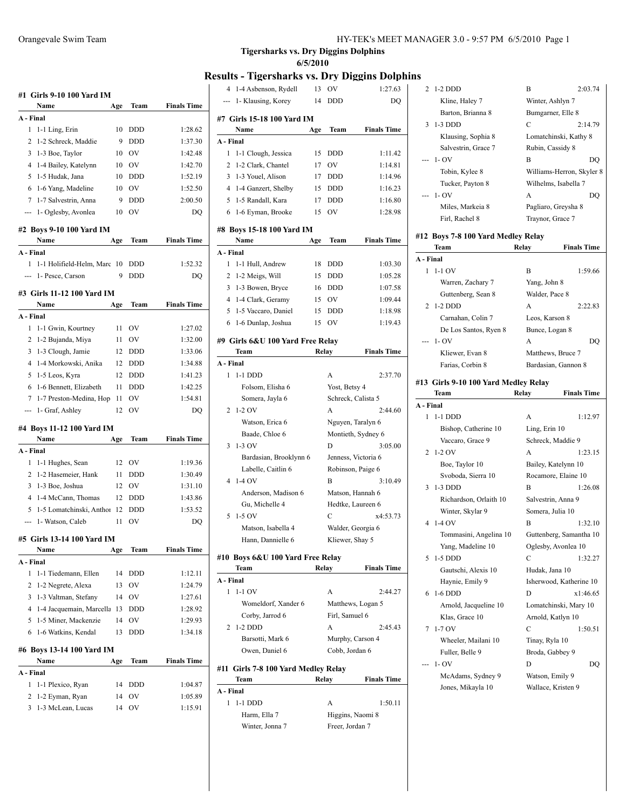| HY-TEK's MEET MANAGER 3.0 - 9:57 PM 6/5/2010 Page 1 |
|-----------------------------------------------------|
|-----------------------------------------------------|

|                | #1 Girls 9-10 100 Yard IM           |          |                          |                    |
|----------------|-------------------------------------|----------|--------------------------|--------------------|
|                | Name                                | Age      | Team                     | <b>Finals Time</b> |
|                | A - Final                           |          |                          |                    |
| 1              | 1-1 Ling, Erin                      | 10       | <b>DDD</b>               | 1:28.62            |
| 2              | 1-2 Schreck, Maddie                 | 9        | <b>DDD</b>               | 1:37.30            |
| 3              | 1-3 Boe, Taylor                     | 10       | <b>OV</b>                | 1:42.48            |
| 4              | 1-4 Bailey, Katelynn                | 10       | <b>OV</b>                | 1:42.70            |
| 5              | 1-5 Hudak, Jana                     | 10       | <b>DDD</b>               | 1:52.19            |
| 6              | 1-6 Yang, Madeline                  | 10       | OV                       | 1:52.50            |
|                | $7^{\circ}$<br>1-7 Salvestrin, Anna | 9        | <b>DDD</b>               | 2:00.50            |
| ---            | 1- Oglesby, Avonlea                 | 10       | OV                       | DQ                 |
|                | #2 Boys 9-10 100 Yard IM            |          |                          |                    |
|                | Name                                | Age      | Team                     | <b>Finals Time</b> |
|                | A - Final                           |          |                          |                    |
| 1              | 1-1 Holifield-Helm, Marc            | 10       | <b>DDD</b>               | 1:52.32            |
|                | 1- Pesce, Carson                    | 9        | <b>DDD</b>               | <b>DQ</b>          |
|                |                                     |          |                          |                    |
|                | #3 Girls 11-12 100 Yard IM          |          |                          |                    |
|                | Name                                | Age      | Team                     | <b>Finals Time</b> |
|                | A - Final                           |          |                          |                    |
| 1              | 1-1 Gwin, Kourtney                  | 11       | OV                       | 1:27.02            |
| 2              | 1-2 Bujanda, Miya                   | 11       | OV                       | 1:32.00            |
| 3              | 1-3 Clough, Jamie                   | 12       | <b>DDD</b>               | 1:33.06            |
| 4              | 1-4 Morkowski, Anika                | 12       | <b>DDD</b>               | 1:34.88            |
| 5              | 1-5 Leos, Kyra                      | 12<br>11 | <b>DDD</b><br><b>DDD</b> | 1:41.23<br>1:42.25 |
| 6<br>7         | 1-6 Bennett, Elizabeth              | 11       | OV                       | 1:54.81            |
|                | 1-7 Preston-Medina, Hop             | 12       | OV                       |                    |
| ---            | 1- Graf, Ashley                     |          |                          | DQ                 |
|                | #4 Boys 11-12 100 Yard IM           |          |                          |                    |
|                | Name                                | Age      | Team                     | <b>Finals Time</b> |
|                | A - Final                           |          |                          |                    |
| 1              | 1-1 Hughes, Sean                    | 12       | OV                       | 1:19.36            |
| 2              | 1-2 Hasemeier, Hank                 | 11       | <b>DDD</b>               | 1:30.49            |
| 3              | 1-3 Boe, Joshua                     | 12       | OV                       | 1:31.10            |
| $\overline{4}$ | 1-4 McCann, Thomas                  | 12       | <b>DDD</b>               | 1:43.86            |
| 5              | 1-5 Lomatchinski, Anthor            | 12       | <b>DDD</b>               | 1:53.52            |
|                | 1- Watson, Caleb                    | 11       | OV                       | DQ                 |
|                | #5 Girls 13-14 100 Yard IM          |          |                          |                    |
|                | Name                                | Age      | Team                     | <b>Finals Time</b> |
|                | A - Final                           |          |                          |                    |
| 1              | 1-1 Tiedemann, Ellen                | 14       | DDD                      | 1:12.11            |
| 2              | 1-2 Negrete, Alexa                  | 13       | OV                       | 1:24.79            |
| 3              | 1-3 Valtman, Stefany                | 14       | OV                       | 1:27.61            |
| 4              | 1-4 Jacquemain, Marcella            | 13       | DDD                      | 1:28.92            |
| 5              | 1-5 Miner, Mackenzie                | 14       | OV                       | 1:29.93            |
| 6              | 1-6 Watkins, Kendal                 | 13       | DDD                      | 1:34.18            |
|                | #6 Boys 13-14 100 Yard IM           |          |                          |                    |
|                | Name                                | Age      | Team                     | <b>Finals Time</b> |
|                | A - Final                           |          |                          |                    |
| 1              | 1-1 Plexico, Ryan                   | 14       | DDD                      | 1:04.87            |
| 2              | 1-2 Eyman, Ryan                     | 14       | OV                       | 1:05.89            |
| 3              | 1-3 McLean, Lucas                   | 14       | OV                       | 1:15.91            |

|                | esuns - Tigershafks vs. Dry Diggins Doiph |       |                 |                     |
|----------------|-------------------------------------------|-------|-----------------|---------------------|
| $\overline{4}$ | 1-4 Asbenson, Rydell                      | 13    | OV              | 1:27.63             |
|                | 1- Klausing, Korey                        | 14    | DDD             | DO                  |
|                | #7 Girls 15-18 100 Yard IM                |       |                 |                     |
|                | Name                                      | Age   | Team            | <b>Finals Time</b>  |
| A - Final      |                                           |       |                 |                     |
| 1              | 1-1 Clough, Jessica                       | 15    | DDD             | 1:11.42             |
| 2              | 1-2 Clark, Chantel                        | 17    | OV              | 1:14.81             |
|                |                                           |       |                 |                     |
| 3              | 1-3 Youel, Alison                         | 17    | <b>DDD</b>      | 1:14.96             |
| 4              | 1-4 Ganzert, Shelby                       | 15    | DDD             | 1:16.23             |
| 5              | 1-5 Randall, Kara                         | 17    | DDD             | 1:16.80             |
| 6              | 1-6 Eyman, Brooke                         | 15    | OV              | 1:28.98             |
|                | #8 Boys 15-18 100 Yard IM                 |       |                 |                     |
|                | Name                                      | Age   | Team            | <b>Finals Time</b>  |
| A - Final      |                                           |       |                 |                     |
| 1              | 1-1 Hull, Andrew                          | 18    | DDD             | 1:03.30             |
| 2              | 1-2 Meigs, Will                           | 15    | DDD             | 1:05.28             |
| 3              | 1-3 Bowen, Bryce                          | 16    | <b>DDD</b>      | 1:07.58             |
| $\overline{4}$ | 1-4 Clark, Geramy                         | 15    | OV              | 1:09.44             |
| 5              | 1-5 Vaccaro, Daniel                       | 15    | DDD             | 1:18.98             |
| 6              | 1-6 Dunlap, Joshua                        | 15    | OV              | 1:19.43             |
|                |                                           |       |                 |                     |
|                | #9 Girls 6&U 100 Yard Free Relay          |       |                 |                     |
|                | Team                                      | Relay |                 | <b>Finals Time</b>  |
| A - Final      |                                           |       |                 |                     |
| 1              | $1-1$ DDD                                 |       | A               | 2:37.70             |
|                | Folsom, Elisha 6                          |       | Yost, Betsy 4   |                     |
|                | Somera, Jayla 6                           |       |                 | Schreck, Calista 5  |
| 2              | $1-2$ OV                                  |       | A               | 2:44.60             |
|                | Watson, Erica 6                           |       |                 | Nguyen, Taralyn 6   |
|                | Baade, Chloe 6                            |       |                 | Montieth, Sydney 6  |
| 3              | $1-3$ OV                                  |       | D               | 3:05.00             |
|                | Bardasian, Brooklynn 6                    |       |                 | Jenness, Victoria 6 |
|                | Labelle, Caitlin 6                        |       |                 | Robinson, Paige 6   |
| 4              |                                           |       |                 | 3:10.49             |
|                | $1-4$ OV                                  |       | В               |                     |
|                | Anderson, Madison 6                       |       |                 | Matson, Hannah 6    |
|                | Gu, Michelle 4                            |       |                 | Hedtke, Laureen 6   |
| 5              | $1-5$ OV                                  |       | C               | x4:53.73            |
|                | Matson, Isabella 4                        |       |                 | Walder, Georgia 6   |
|                | Hann, Dannielle 6                         |       | Kliewer, Shay 5 |                     |
|                | #10 Boys 6&U 100 Yard Free Relay          |       |                 |                     |
|                | Team                                      | Relay |                 | <b>Finals Time</b>  |
| A - Final      |                                           |       |                 |                     |
| 1              | $1-1$ OV                                  |       | A               | 2:44.27             |
|                |                                           |       |                 |                     |
|                | Womeldorf, Xander 6                       |       |                 | Matthews, Logan 5   |
|                | Corby, Jarrod 6                           |       | Firl, Samuel 6  |                     |
| 2              | $1-2$ DDD                                 |       | A               | 2:45.43             |
|                | Barsotti, Mark 6                          |       |                 | Murphy, Carson 4    |
|                | Owen, Daniel 6                            |       | Cobb, Jordan 6  |                     |
|                | #11 Girls 7-8 100 Yard Medley Relay       |       |                 |                     |
|                | Team                                      | Relay |                 | <b>Finals Time</b>  |
| A - Final      |                                           |       |                 |                     |
| 1              | $1-1$ DDD                                 |       | A               | 1:50.11             |
|                |                                           |       |                 |                     |
|                | Harm, Ella 7                              |       |                 | Higgins, Naomi 8    |
|                | Winter, Jonna 7                           |       | Freer, Jordan 7 |                     |
|                |                                           |       |                 |                     |

|           | 2 1-2 DDD                                  | B<br>2:03.74                               |
|-----------|--------------------------------------------|--------------------------------------------|
|           |                                            |                                            |
|           | Kline, Haley 7                             | Winter, Ashlyn 7                           |
|           | Barton, Brianna 8                          | Bumgarner, Elle 8                          |
| 3         | $1-3$ DDD                                  | C<br>2:14.79                               |
|           | Klausing, Sophia 8                         | Lomatchinski, Kathy 8                      |
|           | Salvestrin, Grace 7                        | Rubin, Cassidy 8                           |
| ---       | 1- OV                                      | B<br>DQ                                    |
|           | Tobin, Kylee 8                             | Williams-Herron, Skyler 8                  |
|           | Tucker, Payton 8                           | Wilhelms, Isabella 7                       |
|           | --- 1- OV                                  | A<br>DQ                                    |
|           | Miles, Markeia 8                           | Pagliaro, Greysha 8                        |
|           | Firl, Rachel 8                             | Traynor, Grace 7                           |
|           |                                            |                                            |
|           | #12 Boys 7-8 100 Yard Medley Relay<br>Team | <b>Finals Time</b><br>Relay                |
|           |                                            |                                            |
| A - Final |                                            |                                            |
|           | $1 - 1 - 1$ OV                             | B<br>1:59.66                               |
|           | Warren, Zachary 7                          | Yang, John 8                               |
|           | Guttenberg, Sean 8                         | Walder, Pace 8                             |
| 2         | $1-2$ DDD                                  | 2:22.83<br>А                               |
|           | Carnahan, Colin 7                          | Leos, Karson 8                             |
|           | De Los Santos, Ryen 8                      | Bunce, Logan 8                             |
|           | $1 - OV$                                   | A<br>DQ                                    |
|           | Kliewer, Evan 8                            | Matthews, Bruce 7                          |
|           | Farias, Corbin 8                           | Bardasian, Gannon 8                        |
|           | #13 Girls 9-10 100 Yard Medley Relay       |                                            |
|           | Team                                       | <b>Finals Time</b><br>Relay                |
| A - Final |                                            |                                            |
|           |                                            |                                            |
|           | 1 1-1 DDD                                  | A<br>1:12.97                               |
|           | Bishop, Catherine 10                       | Ling, Erin 10                              |
|           | Vaccaro, Grace 9                           | Schreck, Maddie 9                          |
| 2         | $1-2$ OV                                   | A<br>1:23.15                               |
|           |                                            |                                            |
|           | Boe, Taylor 10<br>Svoboda, Sierra 10       | Bailey, Katelynn 10<br>Rocamore, Elaine 10 |
| 3         | $1-3$ DDD                                  | B<br>1:26.08                               |
|           |                                            |                                            |
|           | Richardson, Orlaith 10                     | Salvestrin, Anna 9                         |
| 4         | Winter, Skylar 9<br>$1-4$ OV               | Somera, Julia 10<br>B<br>1:32.10           |
|           |                                            |                                            |
|           | Tommasini, Angelina 10                     | Guttenberg, Samantha 10                    |
|           | Yang, Madeline 10                          | Oglesby, Avonlea 10<br>C<br>1:32.27        |
| 5         | $1-5$ DDD                                  |                                            |
|           | Gautschi, Alexis 10                        | Hudak, Jana 10                             |
|           | Haynie, Emily 9                            | Isherwood, Katherine 10                    |
| 6         | $1-6$ DDD                                  | D<br>x1:46.65                              |
|           | Arnold, Jacqueline 10                      | Lomatchinski, Mary 10                      |
|           | Klas, Grace 10                             | Arnold, Katlyn 10                          |
| 7         | $1-7$ OV                                   | C<br>1:50.51                               |
|           | Wheeler, Mailani 10                        | Tinay, Ryla 10                             |
|           | Fuller, Belle 9                            | Broda, Gabbey 9                            |
|           | $1 - OV$                                   | D<br>DQ                                    |
|           | McAdams, Sydney 9                          | Watson, Emily 9                            |
|           | Jones, Mikayla 10                          | Wallace, Kristen 9                         |
|           |                                            |                                            |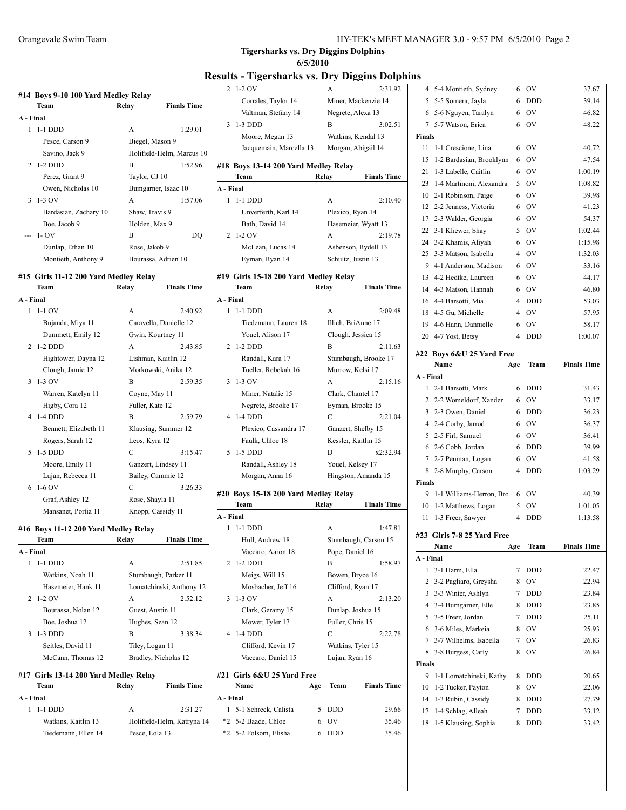# **Results - Tigersharks vs. Dry Diggins Dolphins**

|                             | Team                                  | Relay           | <b>Finals Time</b>        |
|-----------------------------|---------------------------------------|-----------------|---------------------------|
| A - Final                   |                                       |                 |                           |
| 1                           | 1-1 DDD                               | A               | 1:29.01                   |
|                             | Pesce, Carson 9                       |                 | Biegel, Mason 9           |
|                             | Savino, Jack 9                        |                 | Holifield-Helm, Marcus 10 |
| 2                           | $1-2$ DDD                             | $\overline{B}$  | 1:52.96                   |
|                             | Perez, Grant 9                        | Taylor, CJ 10   |                           |
|                             | Owen, Nicholas 10                     |                 | Bumgarner, Isaac 10       |
| 3                           | $1-3$ OV                              | A               | 1:57.06                   |
|                             | Bardasian, Zachary 10                 | Shaw, Travis 9  |                           |
|                             | Boe, Jacob 9                          | Holden, Max 9   |                           |
|                             | $1 - OV$                              | B               | DO                        |
|                             | Dunlap, Ethan 10                      | Rose, Jakob 9   |                           |
|                             | Montieth, Anthony 9                   |                 | Bourassa, Adrien 10       |
|                             | #15 Girls 11-12 200 Yard Medley Relay |                 |                           |
|                             | Team                                  | Relay           |                           |
|                             |                                       |                 | <b>Finals Time</b>        |
|                             |                                       |                 |                           |
| 1                           | $1-1$ OV                              | A               | 2:40.92                   |
|                             | Bujanda, Miya 11                      |                 | Caravella, Danielle 12    |
|                             | Dummett, Emily 12                     |                 | Gwin, Kourtney 11         |
| $\mathcal{D}_{\mathcal{L}}$ | $1-2$ DDD                             | A               | 2:43.85                   |
|                             | Hightower, Dayna 12                   |                 | Lishman, Kaitlin 12       |
|                             | Clough, Jamie 12                      |                 | Morkowski, Anika 12       |
| 3                           | 1-3 OV                                | B               | 2:59.35                   |
|                             | Warren, Katelyn 11                    | Coyne, May 11   |                           |
|                             | Higby, Cora 12                        | Fuller, Kate 12 |                           |
| A - Final<br>4              | 1-4 DDD                               | B               | 2:59.79                   |

|    | Clough, Jamie 12      | MOľKOWSKI, ANIKA 12 |         |
|----|-----------------------|---------------------|---------|
|    | $3 - 1 - 3$ OV        | B                   | 2:59.35 |
|    | Warren, Katelyn 11    | Coyne, May 11       |         |
|    | Higby, Cora 12        | Fuller, Kate 12     |         |
|    | 4 1-4 DDD             | B                   | 2:59.79 |
|    | Bennett, Elizabeth 11 | Klausing, Summer 12 |         |
|    | Rogers, Sarah 12      | Leos, Kyra 12       |         |
|    | 5 – 1-5 DDD           | C                   | 3:15.47 |
|    | Moore, Emily 11       | Ganzert, Lindsey 11 |         |
|    | Lujan, Rebecca 11     | Bailey, Cammie 12   |         |
| 6. | $1-6$ OV              | C                   | 3:26.33 |
|    | Graf, Ashley 12       | Rose, Shayla 11     |         |
|    | Mansanet, Portia 11   | Knopp, Cassidy 11   |         |
|    |                       |                     |         |

#### **#16 Boys 11-12 200 Yard Medley Relay**

|           | Team               | Relay                | <b>Finals Time</b>       |
|-----------|--------------------|----------------------|--------------------------|
| A - Final |                    |                      |                          |
| 1         | $1-1$ DDD          | A                    | 2:51.85                  |
|           | Watkins, Noah 11   |                      | Stumbaugh, Parker 11     |
|           | Hasemeier, Hank 11 |                      | Lomatchinski, Anthony 12 |
|           | $2 \t1-2$ OV       | A                    | 2:52.12                  |
|           | Bourassa, Nolan 12 | Guest, Austin 11     |                          |
|           | Boe, Joshua 12     | Hughes, Sean 12      |                          |
| 3         | 1-3 DDD            | B                    | 3:38.34                  |
|           | Seitles, David 11  | Tiley, Logan 11      |                          |
|           | McCann, Thomas 12  | Bradley, Nicholas 12 |                          |
|           |                    |                      |                          |

# **#17 Girls 13-14 200 Yard Medley Relay**

| Team                | Relay          | <b>Finals Time</b>         |
|---------------------|----------------|----------------------------|
| A - Final           |                |                            |
| 1 1-1 DDD           | A              | 2:31.27                    |
| Watkins, Kaitlin 13 |                | Holifield-Helm, Katryna 14 |
| Tiedemann, Ellen 14 | Pesce, Lola 13 |                            |

| 2              | $1-2$ OV                              | A                   | 2:31.92              |
|----------------|---------------------------------------|---------------------|----------------------|
|                | Corrales, Taylor 14                   |                     | Miner, Mackenzie 14  |
|                | Valtman, Stefany 14                   | Negrete, Alexa 13   |                      |
| 3              | $1-3$ DDD                             | B                   | 3:02.51              |
|                | Moore, Megan 13                       | Watkins, Kendal 13  |                      |
|                | Jacquemain, Marcella 13               | Morgan, Abigail 14  |                      |
|                | #18 Boys 13-14 200 Yard Medley Relay  |                     |                      |
|                | Team                                  | Relay               | <b>Finals Time</b>   |
| A - Final      |                                       |                     |                      |
| 1              | $1-1$ DDD                             | A                   | 2:10.40              |
|                | Unverferth, Karl 14                   | Plexico, Ryan 14    |                      |
|                | Bath, David 14                        |                     | Hasemeier, Wyatt 13  |
| 2              | $1-2$ OV                              | A                   | 2:19.78              |
|                | McLean, Lucas 14                      |                     | Asbenson, Rydell 13  |
|                | Eyman, Ryan 14                        | Schultz, Justin 13  |                      |
|                |                                       |                     |                      |
|                |                                       |                     |                      |
|                | #19 Girls 15-18 200 Yard Medley Relay |                     |                      |
|                | Team                                  | Relay               | <b>Finals Time</b>   |
|                |                                       |                     |                      |
| A - Final<br>1 | 1-1 DDD                               | A                   | 2:09.48              |
|                | Tiedemann, Lauren 18                  | Illich, BriAnne 17  |                      |
|                | Youel, Alison 17                      | Clough, Jessica 15  |                      |
| $\overline{2}$ | $1-2$ DDD                             | B                   | 2:11.63              |
|                | Randall, Kara 17                      |                     | Stumbaugh, Brooke 17 |
|                | Tueller, Rebekah 16                   | Murrow, Kelsi 17    |                      |
| 3              | $1-3$ OV                              | A                   | 2:15.16              |
|                | Miner, Natalie 15                     | Clark, Chantel 17   |                      |
|                | Negrete, Brooke 17                    | Eyman, Brooke 15    |                      |
| 4              | $1-4$ DDD                             | C                   | 2:21.04              |
|                | Plexico, Cassandra 17                 | Ganzert, Shelby 15  |                      |
|                | Faulk, Chloe 18                       | Kessler, Kaitlin 15 |                      |

#### **#20 Boys 15-18 200 Yard Medley Relay**

|           | Team               | Relay | <b>Finals Time</b>   |
|-----------|--------------------|-------|----------------------|
| A - Final |                    |       |                      |
| 1         | 1-1 DDD            | A     | 1:47.81              |
|           | Hull, Andrew 18    |       | Stumbaugh, Carson 15 |
|           | Vaccaro, Aaron 18  |       | Pope, Daniel 16      |
|           | 2 1-2 DDD          | B     | 1:58.97              |
|           | Meigs, Will 15     |       | Bowen, Bryce 16      |
|           | Mosbacher, Jeff 16 |       | Clifford, Ryan 17    |
|           | $3 - 1 - 3$ OV     | A     | 2:13.20              |
|           | Clark, Geramy 15   |       | Dunlap, Joshua 15    |
|           | Mower, Tyler 17    |       | Fuller, Chris 15     |
|           | 4 1-4 DDD          | C     | 2:22.78              |
|           | Clifford, Kevin 17 |       | Watkins, Tyler 15    |
|           | Vaccaro, Daniel 15 |       | Lujan, Ryan 16       |
|           |                    |       |                      |

Randall, Ashley 18 Youel, Kelsey 17 Morgan, Anna 16 Hingston, Amanda 15

#### **#21 Girls 6&U 25 Yard Free Name Age Team Finals Time**

| A - Final |                        |       |       |
|-----------|------------------------|-------|-------|
|           | 1 5-1 Schreck. Calista | 5 DDD | 29.66 |
|           | *2 5-2 Baade, Chloe    | 6 OV  | 35.46 |
|           | *2 5-2 Folsom, Elisha  | 6 DDD | 35.46 |
|           |                        |       |       |

| 4             | 5-4 Montieth, Sydney              | 6              | OV          | 37.67              |
|---------------|-----------------------------------|----------------|-------------|--------------------|
| 5             | 5-5 Somera, Jayla                 | 6              | DDD         | 39.14              |
| 6             | 5-6 Nguyen, Taralyn               | 6              | OV          | 46.82              |
| 7             | 5-7 Watson, Erica                 | 6              | OV          | 48.22              |
| Finals        |                                   |                |             |                    |
| 11            | 1-1 Crescione, Lina               | 6              | <b>OV</b>   | 40.72              |
| 15            | 1-2 Bardasian, Brooklynn          | 6              | OV          | 47.54              |
| 21            | 1-3 Labelle, Caitlin              | 6              | <b>OV</b>   | 1:00.19            |
| 23            | 1-4 Martinoni, Alexandra          | 5              | <b>OV</b>   | 1:08.82            |
| 10            | 2-1 Robinson, Paige               | 6              | OV          | 39.98              |
| 12            | 2-2 Jenness, Victoria             | 6              | <b>OV</b>   | 41.23              |
| 17            | 2-3 Walder, Georgia               | 6              | <b>OV</b>   | 54.37              |
| 22            | 3-1 Kliewer, Shay                 | 5              | <b>OV</b>   | 1:02.44            |
| 24            | 3-2 Khamis, Aliyah                | 6              | OV          | 1:15.98            |
| 25            | 3-3 Matson, Isabella              | 4              | <b>OV</b>   | 1:32.03            |
| 9             | 4-1 Anderson, Madison             | 6              | <b>OV</b>   | 33.16              |
| 13            | 4-2 Hedtke, Laureen               | 6              | OV          | 44.17              |
| 14            | 4-3 Matson, Hannah                | 6              | OV          | 46.80              |
|               | 16 4-4 Barsotti, Mia              | 4              | <b>DDD</b>  | 53.03              |
| 18            | 4-5 Gu, Michelle                  | 4              | OV          | 57.95              |
| 19            | 4-6 Hann, Dannielle               | 6              | OV          | 58.17              |
|               | 20 4-7 Yost, Betsy                | $\overline{4}$ | <b>DDD</b>  | 1:00.07            |
|               |                                   |                |             |                    |
|               | #22 Boys 6&U 25 Yard Free<br>Name |                |             |                    |
|               |                                   | Age            | Team        | <b>Finals Time</b> |
| A - Final     |                                   |                |             |                    |
| 1             | 2-1 Barsotti, Mark                | 6              | <b>DDD</b>  | 31.43              |
| 2             | 2-2 Womeldorf, Xander             | 6              | OV          | 33.17              |
|               |                                   |                |             |                    |
| 3             | 2-3 Owen, Daniel                  | 6              | DDD         | 36.23              |
|               | 4 2-4 Corby, Jarrod               | 6              | OV          | 36.37              |
| 5             | 2-5 Firl, Samuel                  | 6              | <b>OV</b>   | 36.41              |
| 6             | 2-6 Cobb, Jordan                  | 6              | <b>DDD</b>  | 39.99              |
| 7             | 2-7 Penman, Logan                 | 6              | OV          | 41.58              |
| 8             | 2-8 Murphy, Carson                | 4              | <b>DDD</b>  | 1:03.29            |
| <b>Finals</b> |                                   |                |             |                    |
| 9             | 1-1 Williams-Herron, Bro          | 6              | OV          | 40.39              |
| 10            | 1-2 Matthews, Logan               | 5              | OV          | 1:01.05            |
| 11            | 1-3 Freer, Sawyer                 | 4              | <b>DDD</b>  | 1:13.58            |
|               | #23 Girls 7-8 25 Yard Free        |                |             |                    |
|               | Name                              | Age            | <b>Team</b> | <b>Finals Time</b> |
| A - Final     |                                   |                |             |                    |
| 1             | 3-1 Harm, Ella                    | 7              | DDD         | 22.47              |
| 2             | 3-2 Pagliaro, Greysha             | 8              | OV          | 22.94              |
| 3             | 3-3 Winter, Ashlyn                | 7              | DDD         | 23.84              |
| 4             | 3-4 Bumgarner, Elle               | 8              | <b>DDD</b>  | 23.85              |
| 5             | 3-5 Freer, Jordan                 | 7              | <b>DDD</b>  | 25.11              |
| 6             | 3-6 Miles, Markeia                | 8              | OV          | 25.93              |
| 7             | 3-7 Wilhelms, Isabella            | 7              | OV          | 26.83              |
| 8             | 3-8 Burgess, Carly                | 8              | OV          | 26.84              |
| Finals        |                                   |                |             |                    |
| 9             | 1-1 Lomatchinski, Kathy           | 8              | DDD         | 20.65              |
| 10            | 1-2 Tucker, Payton                | 8              | OV          | 22.06              |
| 14            | 1-3 Rubin, Cassidy                | 8              | DDD         | 27.79              |
| 17            | 1-4 Schlag, Alleah                | 7              | DDD         | 33.12              |
| 18            | 1-5 Klausing, Sophia              | 8              | DDD         | 33.42              |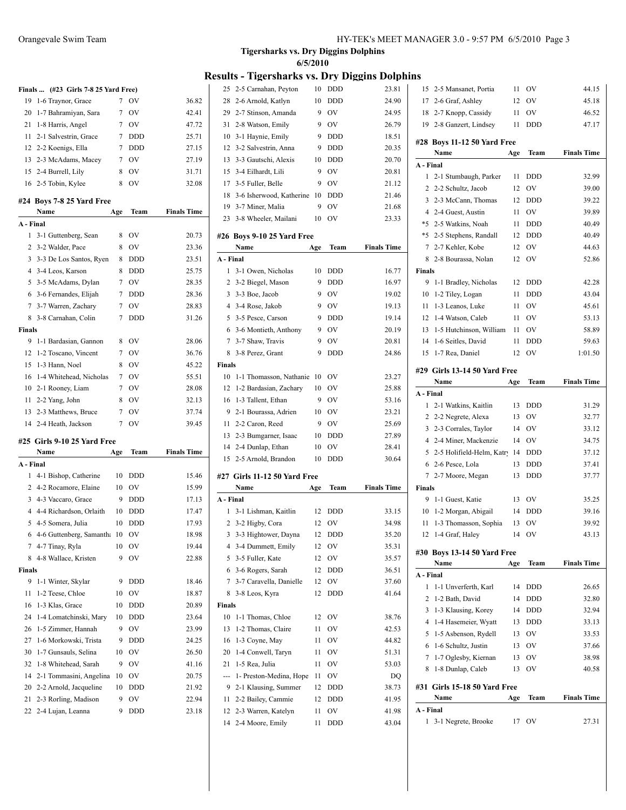|                | Finals  (#23 Girls 7-8 25 Yard Free)      |        |            |                    |
|----------------|-------------------------------------------|--------|------------|--------------------|
| 19             | 1-6 Traynor, Grace                        | 7      | OV         | 36.82              |
| 20             | 1-7 Bahramiyan, Sara                      | 7      | <b>OV</b>  | 42.41              |
| 21             | 1-8 Harris, Angel                         | 7      | OV         | 47.72              |
| 11             | 2-1 Salvestrin, Grace                     | 7      | <b>DDD</b> | 25.71              |
|                | 12 2-2 Koenigs, Ella                      | 7      | <b>DDD</b> | 27.15              |
|                | 13 2-3 McAdams, Macey                     | 7      | <b>OV</b>  | 27.19              |
|                | 15 2-4 Burrell, Lily                      | 8      | OV         | 31.71              |
|                | 16 2-5 Tobin, Kylee                       | 8      | OV         | 32.08              |
|                |                                           |        |            |                    |
|                | #24 Boys 7-8 25 Yard Free                 |        |            |                    |
|                | Name                                      | Age    | Team       | <b>Finals Time</b> |
| A - Final      |                                           |        |            |                    |
| 1              | 3-1 Guttenberg, Sean                      | 8      | <b>OV</b>  | 20.73              |
|                | 2 3-2 Walder, Pace                        | 8      | OV         | 23.36              |
| 3              | 3-3 De Los Santos, Ryen                   | 8      | <b>DDD</b> | 23.51              |
|                | 4 3-4 Leos, Karson                        | 8      | <b>DDD</b> | 25.75              |
|                | 5 3-5 McAdams, Dylan                      | 7      | <b>OV</b>  | 28.35              |
|                | 6 3-6 Fernandes, Elijah                   | 7      | <b>DDD</b> | 28.36              |
| 7              | 3-7 Warren, Zachary                       | 7      | <b>OV</b>  | 28.83              |
|                | 8 3-8 Carnahan, Colin                     | 7      | <b>DDD</b> | 31.26              |
| Finals         |                                           |        |            |                    |
| 9              | 1-1 Bardasian, Gannon                     | 8      | <b>OV</b>  | 28.06              |
| 12             | 1-2 Toscano, Vincent                      | 7      | OV         | 36.76              |
| 15             | 1-3 Hann, Noel                            | 8      | OV         | 45.22              |
| 16             | 1-4 Whitehead, Nicholas                   | 7      | <b>OV</b>  | 55.51              |
| 10             | 2-1 Rooney, Liam                          | 7      | OV         | 28.08              |
| 11             | 2-2 Yang, John                            | 8      | OV         | 32.13              |
|                |                                           |        |            |                    |
| 13             | 2-3 Matthews, Bruce                       | 7      | <b>OV</b>  | 37.74              |
|                | 14 2-4 Heath, Jackson                     | 7      | OV         | 39.45              |
|                |                                           |        |            |                    |
|                | #25  Girls 9-10 25 Yard Free<br>Name      |        | Team       | <b>Finals Time</b> |
|                |                                           | Age    |            |                    |
| A - Final<br>1 |                                           | 10     | <b>DDD</b> |                    |
|                | 4-1 Bishop, Catherine                     | 10     | OV         | 15.46              |
|                | 2 4-2 Rocamore, Elaine                    | 9      | <b>DDD</b> | 15.99              |
|                | 3 4-3 Vaccaro, Grace                      | 10     | <b>DDD</b> | 17.13<br>17.47     |
|                | 4 4-4 Richardson, Orlaith                 |        | <b>DDD</b> |                    |
|                | 5 4-5 Somera, Julia                       | 10     |            | 17.93              |
|                | 6 4-6 Guttenberg, Samantha 10             |        | OV         | 18.98              |
|                | 7 4-7 Tinay, Ryla                         | 10     | ov         | 19.44              |
| 8              | 4-8 Wallace, Kristen                      | 9      | OV         | 22.88              |
| Finals         |                                           |        |            |                    |
| 9              | 1-1 Winter, Skylar                        | 9      | <b>DDD</b> | 18.46              |
| 11             | 1-2 Teese, Chloe                          | 10     | OV         | 18.87              |
| 16             | 1-3 Klas, Grace                           | 10     | DDD        | 20.89              |
| 24             | 1-4 Lomatchinski, Mary                    | 10     | DDD        | 23.64              |
| 26             | 1-5 Zimmer, Hannah                        | 9      | OV         | 23.99              |
| 27             | 1-6 Morkowski, Trista                     | 9      | <b>DDD</b> | 24.25              |
| 30             | 1-7 Gunsauls, Selina                      | 10     | OV         | 26.50              |
| 32             | 1-8 Whitehead, Sarah                      | 9      | OV         | 41.16              |
| 14             | 2-1 Tommasini, Angelina                   | 10     | OV         | 20.75              |
| 20             | 2-2 Arnold, Jacqueline                    | 10     | DDD        | 21.92              |
| 21<br>22       | 2-3 Rorling, Madison<br>2-4 Lujan, Leanna | 9<br>9 | OV<br>DDD  | 22.94<br>23.18     |

|                          |           | <b>Results - Tigersharks vs. Dry Diggins Dolphins</b> |         |                |                    |    |
|--------------------------|-----------|-------------------------------------------------------|---------|----------------|--------------------|----|
|                          |           | 25 2-5 Carnahan, Peyton                               |         | 10 DDD         | 23.81              |    |
| $\overline{\phantom{a}}$ |           | 28 2-6 Arnold, Katlyn                                 | 10      | <b>DDD</b>     | 24.90              |    |
|                          |           | 29 2-7 Stinson, Amanda                                | 9       | OV             | 24.95              |    |
|                          | 31        | 2-8 Watson, Emily                                     | 9       | <b>OV</b>      | 26.79              |    |
|                          |           | 10 3-1 Haynie, Emily                                  | 9       | <b>DDD</b>     | 18.51              | #2 |
| ;                        |           | 12 3-2 Salvestrin, Anna                               | 9       | <b>DDD</b>     | 20.35              |    |
| )                        |           | 13 3-3 Gautschi, Alexis                               | 10      | <b>DDD</b>     | 20.70              |    |
|                          |           | 15 3-4 Eilhardt, Lili                                 | 9       | OV             | 20.81              |    |
| ζ                        |           | 17 3-5 Fuller, Belle                                  | 9       | <b>OV</b>      | 21.12              |    |
|                          |           | 18 3-6 Isherwood, Katherine                           | 10      | <b>DDD</b>     | 21.46              |    |
| ¢                        |           | 19 3-7 Miner, Malia                                   | 9       | OV             | 21.68              |    |
|                          |           | 23 3-8 Wheeler, Mailani                               | 10      | OV             | 23.33              |    |
| ;                        |           | #26 Boys 9-10 25 Yard Free                            |         |                |                    |    |
| 5                        |           | Name                                                  | Age     | Team           | <b>Finals Time</b> |    |
|                          | A - Final |                                                       |         |                |                    |    |
| ;                        |           | 1 3-1 Owen, Nicholas                                  | 10      | <b>DDD</b>     | 16.77              | Fi |
| ;                        |           | 2 3-2 Biegel, Mason                                   | 9       | <b>DDD</b>     | 16.97              |    |
| i                        |           | 3 3-3 Boe, Jacob                                      | 9       | O <sub>V</sub> | 19.02              |    |
|                          |           | 4 3-4 Rose, Jakob                                     | 9       | O <sub>V</sub> | 19.13              |    |
| 5                        |           | 5 3-5 Pesce, Carson                                   | 9       | <b>DDD</b>     | 19.14              |    |
|                          |           | 6 3-6 Montieth, Anthony                               | 9       | O <sub>V</sub> | 20.19              |    |
| 5                        |           | 7 3-7 Shaw, Travis                                    | 9       | <b>OV</b>      | 20.81              |    |
| 5                        |           |                                                       | 9       | <b>DDD</b>     | 24.86              |    |
|                          |           | 8 3-8 Perez, Grant                                    |         |                |                    |    |
|                          | Finals    |                                                       |         |                |                    | #2 |
| ì                        |           | 10 1-1 Thomasson, Nathanie                            | 10      | <b>OV</b>      | 23.27              |    |
|                          |           | 12 1-2 Bardasian, Zachary                             | 10<br>9 | <b>OV</b>      | 25.88              | A  |
|                          |           | 16 1-3 Tallent, Ethan                                 |         | <b>OV</b>      | 53.16              |    |
|                          |           | 9 2-1 Bourassa, Adrien                                | 10      | <b>OV</b>      | 23.21              |    |
|                          |           | 11 2-2 Caron, Reed                                    | 9       | OV             | 25.69              |    |
|                          |           | 13 2-3 Bumgarner, Isaac                               | 10      | <b>DDD</b>     | 27.89              |    |
| Č                        |           | 14 2-4 Dunlap, Ethan                                  | 10      | OV             | 28.41              |    |
|                          |           | 15 2-5 Arnold, Brandon                                | 10      | DDD            | 30.64              |    |
| 5                        |           | #27 Girls 11-12 50 Yard Free                          |         |                |                    |    |
| )                        |           | Name                                                  | Age     | <b>Team</b>    | <b>Finals Time</b> | Fi |
|                          | A - Final |                                                       |         |                |                    |    |
| 7                        | 1         | 3-1 Lishman, Kaitlin                                  | 12      | DDD            | 33.15              |    |
|                          |           | 2 3-2 Higby, Cora                                     | 12      | OV             | 34.98              |    |
| ξ                        |           | 3 3-3 Hightower, Dayna                                | 12      | DDD            | 35.20              |    |
|                          |           | 4 3-4 Dummett, Emily                                  | 12      | OV             | 35.31              |    |
| ξ                        |           | 5 3-5 Fuller, Kate                                    | 12      | OV             | 35.57              | #3 |
|                          | 6         | 3-6 Rogers, Sarah                                     | 12      | <b>DDD</b>     | 36.51              |    |
| 5                        | 7         | 3-7 Caravella, Danielle                               | 12      | OV             | 37.60              | A. |
| 7                        | 8         | 3-8 Leos, Kyra                                        | 12      | DDD            | 41.64              |    |
| )                        | Finals    |                                                       |         |                |                    |    |
|                          | 10        | 1-1 Thomas, Chloe                                     | 12      | OV             | 38.76              |    |
| )                        | 13        | 1-2 Thomas, Claire                                    | 11      | OV             | 42.53              |    |
|                          | 16        | 1-3 Coyne, May                                        | 11      | OV             | 44.82              |    |
| )                        | 20        | 1-4 Conwell, Taryn                                    | 11      | OV             | 51.31              |    |
| 5                        | 21        | 1-5 Rea, Julia                                        | 11      | OV             | 53.03              |    |
|                          | ---       | 1- Preston-Medina, Hope                               | 11      | OV             | DQ                 |    |
|                          |           | 9 2-1 Klausing, Summer                                | 12      | DDD            | 38.73              | #3 |
|                          | 11        | 2-2 Bailey, Cammie                                    | 12      | DDD            | 41.95              |    |
|                          |           | 12 2-3 Warren, Katelyn                                | 11      | OV             | 41.98              |    |
|                          | 14        | 2-4 Moore, Emily                                      | 11      | DDD            | 43.04              |    |
|                          |           |                                                       |         |                |                    |    |
|                          |           |                                                       |         |                |                    |    |

**6/5/2010**

| 15 2-5 Mansanet, Portia        | 11                                                                                                                                                                                                                                                                                                                                                                       | OV                                                                                                                                                                  | 44.15                                                                                                               |
|--------------------------------|--------------------------------------------------------------------------------------------------------------------------------------------------------------------------------------------------------------------------------------------------------------------------------------------------------------------------------------------------------------------------|---------------------------------------------------------------------------------------------------------------------------------------------------------------------|---------------------------------------------------------------------------------------------------------------------|
| 17 2-6 Graf, Ashley            | 12                                                                                                                                                                                                                                                                                                                                                                       | OV                                                                                                                                                                  | 45.18                                                                                                               |
| 2-7 Knopp, Cassidy             | 11                                                                                                                                                                                                                                                                                                                                                                       | OV                                                                                                                                                                  | 46.52                                                                                                               |
| 19 2-8 Ganzert, Lindsey        | 11                                                                                                                                                                                                                                                                                                                                                                       | DDD                                                                                                                                                                 | 47.17                                                                                                               |
|                                |                                                                                                                                                                                                                                                                                                                                                                          |                                                                                                                                                                     |                                                                                                                     |
|                                |                                                                                                                                                                                                                                                                                                                                                                          |                                                                                                                                                                     | <b>Finals Time</b>                                                                                                  |
|                                |                                                                                                                                                                                                                                                                                                                                                                          |                                                                                                                                                                     |                                                                                                                     |
|                                |                                                                                                                                                                                                                                                                                                                                                                          |                                                                                                                                                                     |                                                                                                                     |
|                                |                                                                                                                                                                                                                                                                                                                                                                          |                                                                                                                                                                     | 32.99                                                                                                               |
|                                |                                                                                                                                                                                                                                                                                                                                                                          |                                                                                                                                                                     | 39.00                                                                                                               |
|                                |                                                                                                                                                                                                                                                                                                                                                                          |                                                                                                                                                                     | 39.22                                                                                                               |
| 4                              |                                                                                                                                                                                                                                                                                                                                                                          |                                                                                                                                                                     | 39.89                                                                                                               |
|                                |                                                                                                                                                                                                                                                                                                                                                                          |                                                                                                                                                                     | 40.49                                                                                                               |
| *5                             |                                                                                                                                                                                                                                                                                                                                                                          |                                                                                                                                                                     | 40.49                                                                                                               |
|                                |                                                                                                                                                                                                                                                                                                                                                                          |                                                                                                                                                                     | 44.63                                                                                                               |
|                                |                                                                                                                                                                                                                                                                                                                                                                          |                                                                                                                                                                     | 52.86                                                                                                               |
|                                |                                                                                                                                                                                                                                                                                                                                                                          |                                                                                                                                                                     |                                                                                                                     |
|                                |                                                                                                                                                                                                                                                                                                                                                                          |                                                                                                                                                                     | 42.28                                                                                                               |
|                                |                                                                                                                                                                                                                                                                                                                                                                          |                                                                                                                                                                     | 43.04                                                                                                               |
|                                |                                                                                                                                                                                                                                                                                                                                                                          |                                                                                                                                                                     | 45.61                                                                                                               |
|                                |                                                                                                                                                                                                                                                                                                                                                                          |                                                                                                                                                                     | 53.13                                                                                                               |
|                                |                                                                                                                                                                                                                                                                                                                                                                          |                                                                                                                                                                     | 58.89                                                                                                               |
|                                |                                                                                                                                                                                                                                                                                                                                                                          |                                                                                                                                                                     | 59.63                                                                                                               |
|                                |                                                                                                                                                                                                                                                                                                                                                                          |                                                                                                                                                                     | 1:01.50                                                                                                             |
|                                |                                                                                                                                                                                                                                                                                                                                                                          |                                                                                                                                                                     |                                                                                                                     |
| Name                           |                                                                                                                                                                                                                                                                                                                                                                          | Team                                                                                                                                                                | <b>Finals Time</b>                                                                                                  |
| A - Final                      |                                                                                                                                                                                                                                                                                                                                                                          |                                                                                                                                                                     |                                                                                                                     |
|                                |                                                                                                                                                                                                                                                                                                                                                                          |                                                                                                                                                                     |                                                                                                                     |
| 2-1 Watkins, Kaitlin           | 13                                                                                                                                                                                                                                                                                                                                                                       | DDD                                                                                                                                                                 | 31.29                                                                                                               |
| 2 2-2 Negrete, Alexa           | 13                                                                                                                                                                                                                                                                                                                                                                       | OV                                                                                                                                                                  | 32.77                                                                                                               |
| 3 2-3 Corrales, Taylor         | 14                                                                                                                                                                                                                                                                                                                                                                       | OV                                                                                                                                                                  | 33.12                                                                                                               |
| 2-4 Miner, Mackenzie<br>4      | 14                                                                                                                                                                                                                                                                                                                                                                       | OV                                                                                                                                                                  | 34.75                                                                                                               |
| 2-5 Holifield-Helm, Katry<br>5 | 14                                                                                                                                                                                                                                                                                                                                                                       | DDD                                                                                                                                                                 | 37.12                                                                                                               |
| 2-6 Pesce, Lola                | 13                                                                                                                                                                                                                                                                                                                                                                       | DDD                                                                                                                                                                 | 37.41                                                                                                               |
| 2-7 Moore, Megan               | 13                                                                                                                                                                                                                                                                                                                                                                       | DDD                                                                                                                                                                 | 37.77                                                                                                               |
| Finals                         |                                                                                                                                                                                                                                                                                                                                                                          |                                                                                                                                                                     |                                                                                                                     |
| 9<br>1-1 Guest, Katie          | 13                                                                                                                                                                                                                                                                                                                                                                       | <b>OV</b>                                                                                                                                                           | 35.25                                                                                                               |
| 1-2 Morgan, Abigail            | 14                                                                                                                                                                                                                                                                                                                                                                       | <b>DDD</b>                                                                                                                                                          | 39.16                                                                                                               |
| 1-3 Thomasson, Sophia          | 13                                                                                                                                                                                                                                                                                                                                                                       | OV                                                                                                                                                                  | 39.92                                                                                                               |
| 12 1-4 Graf, Haley             | 14                                                                                                                                                                                                                                                                                                                                                                       | - OV                                                                                                                                                                | 43.13                                                                                                               |
|                                |                                                                                                                                                                                                                                                                                                                                                                          |                                                                                                                                                                     |                                                                                                                     |
| #30 Boys 13-14 50 Yard Free    |                                                                                                                                                                                                                                                                                                                                                                          |                                                                                                                                                                     |                                                                                                                     |
| Name                           | Age                                                                                                                                                                                                                                                                                                                                                                      | Team                                                                                                                                                                | <b>Finals Time</b>                                                                                                  |
| A - Final                      |                                                                                                                                                                                                                                                                                                                                                                          |                                                                                                                                                                     |                                                                                                                     |
| 1-1 Unverferth, Karl           | 14                                                                                                                                                                                                                                                                                                                                                                       | DDD                                                                                                                                                                 | 26.65                                                                                                               |
| 1-2 Bath, David                | 14                                                                                                                                                                                                                                                                                                                                                                       | DDD                                                                                                                                                                 | 32.80                                                                                                               |
| 1-3 Klausing, Korey            | 14                                                                                                                                                                                                                                                                                                                                                                       | <b>DDD</b>                                                                                                                                                          | 32.94                                                                                                               |
| 1-4 Hasemeier, Wyatt           | 13                                                                                                                                                                                                                                                                                                                                                                       | <b>DDD</b>                                                                                                                                                          | 33.13                                                                                                               |
| 1-5 Asbenson, Rydell           | 13                                                                                                                                                                                                                                                                                                                                                                       | OV                                                                                                                                                                  | 33.53                                                                                                               |
| 1-6 Schultz, Justin            | 13                                                                                                                                                                                                                                                                                                                                                                       | OV                                                                                                                                                                  | 37.66                                                                                                               |
| 1-7 Oglesby, Kiernan           | 13                                                                                                                                                                                                                                                                                                                                                                       | OV                                                                                                                                                                  | 38.98                                                                                                               |
| 1-8 Dunlap, Caleb              | 13                                                                                                                                                                                                                                                                                                                                                                       | OV                                                                                                                                                                  | 40.58                                                                                                               |
| #31 Girls 15-18 50 Yard Free   |                                                                                                                                                                                                                                                                                                                                                                          |                                                                                                                                                                     |                                                                                                                     |
| Name                           | Age                                                                                                                                                                                                                                                                                                                                                                      | Team                                                                                                                                                                | <b>Finals Time</b>                                                                                                  |
| A - Final                      |                                                                                                                                                                                                                                                                                                                                                                          |                                                                                                                                                                     |                                                                                                                     |
| 3-1 Negrete, Brooke            | 17                                                                                                                                                                                                                                                                                                                                                                       | OV                                                                                                                                                                  | 27.31                                                                                                               |
|                                | Name<br>A - Final<br>2-1 Stumbaugh, Parker<br>2-2 Schultz, Jacob<br>2-3 McCann, Thomas<br>2-4 Guest, Austin<br>2-5 Watkins, Noah<br>2-5 Stephens, Randall<br>2-7 Kehler, Kobe<br>2-8 Bourassa, Nolan<br>Finals<br>1-1 Bradley, Nicholas<br>1-2 Tiley, Logan<br>1-3 Leanos, Luke<br>1-4 Watson, Caleb<br>1-5 Hutchinson, William<br>1-6 Seitles, David<br>1-7 Rea, Daniel | #28 Boys 11-12 50 Yard Free<br>Age<br>11<br>12<br>12<br>11<br>11<br>12<br>12<br>12<br>12<br>11<br>11<br>11<br>11<br>11<br>12<br>#29 Girls 13-14 50 Yard Free<br>Age | Team<br>DDD<br>OV<br>DDD<br>OV<br><b>DDD</b><br><b>DDD</b><br>OV<br>OV<br>DDD<br>DDD<br>OV<br>OV<br>OV<br>DDD<br>OV |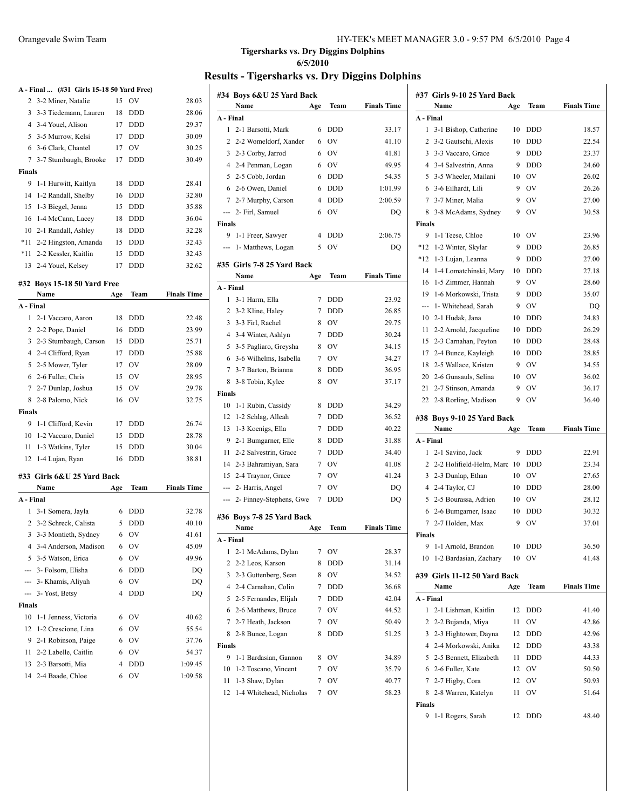|           | A - Final  (#31 Girls 15-18 50 Yard Free) |                |               |                    |
|-----------|-------------------------------------------|----------------|---------------|--------------------|
| 2         | 3-2 Miner, Natalie                        | 15             | OV            | 28.03              |
| 3         | 3-3 Tiedemann, Lauren                     | 18             | <b>DDD</b>    | 28.06              |
|           | 4 3-4 Youel, Alison                       |                | 17 DDD        | 29.37              |
|           | 5 3-5 Murrow, Kelsi                       |                | 17 DDD        | 30.09              |
|           | 6 3-6 Clark, Chantel                      | 17             | OV            | 30.25              |
| 7         | 3-7 Stumbaugh, Brooke                     | 17             | <b>DDD</b>    | 30.49              |
| Finals    |                                           |                |               |                    |
| 9         | 1-1 Hurwitt, Kaitlyn                      | 18             | DDD           | 28.41              |
| 14        | 1-2 Randall, Shelby                       | 16             | <b>DDD</b>    | 32.80              |
| 15        | 1-3 Biegel, Jenna                         | 15             | DDD           | 35.88              |
| 16        | 1-4 McCann, Lacey                         | 18             | DDD           | 36.04              |
| 10        | 2-1 Randall, Ashley                       | 18             | <b>DDD</b>    | 32.28              |
| *11       | 2-2 Hingston, Amanda                      | 15             | DDD           | 32.43              |
| *11       | 2-2 Kessler, Kaitlin                      | 15             | <b>DDD</b>    | 32.43              |
| 13        | 2-4 Youel, Kelsey                         | 17             | <b>DDD</b>    | 32.62              |
|           | #32 Bovs 15-18 50 Yard Free               |                |               |                    |
|           | Name                                      | Age            | <b>Team</b>   | <b>Finals Time</b> |
| A - Final |                                           |                |               |                    |
| 1         | 2-1 Vaccaro, Aaron                        | 18             | DDD           | 22.48              |
|           | 2 2-2 Pope, Daniel                        | 16             | DDD           | 23.99              |
|           | 3 2-3 Stumbaugh, Carson                   | 15             | DDD           | 25.71              |
|           | 4 2-4 Clifford, Ryan                      | 17             | <b>DDD</b>    | 25.88              |
|           | 5 2-5 Mower, Tyler                        | 17             | <b>OV</b>     | 28.09              |
|           | 6 2-6 Fuller, Chris                       | 15             | <b>OV</b>     | 28.95              |
|           | 7 2-7 Dunlap, Joshua                      | 15             | <sub>OV</sub> | 29.78              |
|           | 8 2-8 Palomo, Nick                        | 16             | <b>OV</b>     | 32.75              |
| Finals    |                                           |                |               |                    |
| 9         | 1-1 Clifford, Kevin                       | 17             | DDD           | 26.74              |
| 10        | 1-2 Vaccaro, Daniel                       | 15             | DDD           | 28.78              |
| 11        | 1-3 Watkins, Tyler                        | 15             | DDD           | 30.04              |
| 12        | 1-4 Lujan, Ryan                           | 16             | <b>DDD</b>    | 38.81              |
|           | #33  Girls 6&U 25 Yard Back               |                |               |                    |
|           | Name                                      | Age            | Team          | <b>Finals Time</b> |
| A - Final |                                           |                |               |                    |
| 1         | 3-1 Somera, Jayla                         | 6              | <b>DDD</b>    | 32.78              |
|           | 2 3-2 Schreck, Calista                    | 5              | <b>DDD</b>    | 40.10              |
|           | 3 3-3 Montieth, Sydney                    | 6              | OV            | 41.61              |
| 4         | 3-4 Anderson, Madison                     | 6              | ov            | 45.09              |
|           | 5 3-5 Watson, Erica                       | 6              | OV            | 49.96              |
|           | --- 3- Folsom, Elisha                     | 6              | DDD           | DQ                 |
|           | --- 3- Khamis, Aliyah                     | 6              | OV            | DQ                 |
|           | --- 3- Yost, Betsy                        | 4              | DDD           | DQ                 |
| Finals    |                                           |                |               |                    |
| 10        | 1-1 Jenness, Victoria                     | 6              | OV            | 40.62              |
| 12        | 1-2 Crescione, Lina                       | 6              | OV            | 55.54              |
| 9         | 2-1 Robinson, Paige                       | 6              | OV            | 37.76              |
| 11        | 2-2 Labelle, Caitlin                      | 6              | OV            | 54.37              |
| 13        | 2-3 Barsotti, Mia                         | $\overline{4}$ | DDD           | 1:09.45            |
| 14        | 2-4 Baade, Chloe                          | 6              | OV            | 1:09.58            |
|           |                                           |                |               |                    |

| #34 Boys 6&U 25 Yard Back           |     |                |                    |
|-------------------------------------|-----|----------------|--------------------|
| Name                                | Age | Team           | <b>Finals Time</b> |
| A - Final                           |     |                |                    |
| 1<br>2-1 Barsotti, Mark             | 6   | <b>DDD</b>     | 33.17              |
| 2<br>2-2 Womeldorf, Xander          | 6   | OV             | 41.10              |
| 3<br>2-3 Corby, Jarrod              | 6   | <b>OV</b>      | 41.81              |
| $\overline{4}$<br>2-4 Penman, Logan | 6   | OV             | 49.95              |
| 5<br>2-5 Cobb, Jordan               | 6   | DDD            | 54.35              |
| 2-6 Owen, Daniel<br>6               | 6   | DDD            | 1:01.99            |
| 7<br>2-7 Murphy, Carson             | 4   | DDD            | 2:00.59            |
| 2- Firl, Samuel<br>---              | 6   | O <sub>V</sub> | DQ                 |
| <b>Finals</b>                       |     |                |                    |
| 9<br>1-1 Freer, Sawver              | 4   | DDD            | 2:06.75            |
| 1- Matthews, Logan<br>---           | 5   | OV             | DQ                 |
| #35 Girls 7-8 25 Yard Back          |     |                |                    |
| Name                                | Age | Team           | <b>Finals Time</b> |
| A - Final                           |     |                |                    |
| 1<br>3-1 Harm, Ella                 | 7   | <b>DDD</b>     | 23.92              |
| 2<br>3-2 Kline, Haley               | 7   | <b>DDD</b>     | 26.85              |
| 3<br>3-3 Firl, Rachel               | 8   | O <sub>V</sub> | 29.75              |
| 3-4 Winter, Ashlyn<br>4             | 7   | <b>DDD</b>     | 30.24              |
| 5<br>3-5 Pagliaro, Greysha          | 8   | OV             | 34.15              |
| 3-6 Wilhelms, Isabella<br>6         | 7   | <b>OV</b>      | 34.27              |
| 7<br>3-7 Barton, Brianna            | 8   | <b>DDD</b>     | 36.95              |
| 8<br>3-8 Tobin, Kylee               | 8   | OV             | 37.17              |
| <b>Finals</b>                       |     |                |                    |
| 10<br>1-1 Rubin, Cassidy            | 8   | DDD            | 34.29              |
| 12<br>1-2 Schlag, Alleah            | 7   | DDD            | 36.52              |
| 13<br>1-3 Koenigs, Ella             | 7   | DDD            | 40.22              |
| 9<br>2-1 Bumgarner, Elle            | 8   | DDD            | 31.88              |
| 11<br>2-2 Salvestrin, Grace         | 7   | <b>DDD</b>     | 34.40              |
| 14<br>2-3 Bahramiyan, Sara          | 7   | OV             | 41.08              |
| 15<br>2-4 Traynor, Grace            | 7   | <b>OV</b>      | 41.24              |
| ---<br>2- Harris, Angel             | 7   | OV             | DQ                 |
| 2- Finney-Stephens, Gwe<br>---      | 7   | <b>DDD</b>     | DQ                 |
| #36 Boys 7-8 25 Yard Back           |     |                |                    |
| Name                                | Age | Team           | <b>Finals Time</b> |
| A - Final                           |     |                |                    |
| 1<br>2-1 McAdams, Dylan             | 7   | OV             | 28.37              |
| 2<br>2-2 Leos, Karson               | 8   | DDD            | 31.14              |
| 3<br>2-3 Guttenberg, Sean           | 8   | OV             | 34.52              |
| 2-4 Carnahan, Colin<br>4            | 7   | DDD            | 36.68              |
| 2-5 Fernandes, Elijah<br>5          | 7   | DDD            | 42.04              |
| 2-6 Matthews, Bruce<br>6            | 7   | OV             | 44.52              |
| 2-7 Heath, Jackson<br>7             | 7   | OV             | 50.49              |
| 8<br>2-8 Bunce, Logan               | 8   | DDD            | 51.25              |
| <b>Finals</b>                       |     |                |                    |
| 9<br>1-1 Bardasian, Gannon          | 8   | OV             | 34.89              |
| 1-2 Toscano, Vincent<br>10          | 7   | OV             | 35.79              |
| 11<br>1-3 Shaw, Dylan               | 7   | OV             | 40.77              |
| 12<br>1-4 Whitehead, Nicholas       | 7   | ov             | 58.23              |
|                                     |     |                |                    |

|                 | #37 Girls 9-10 25 Yard Back  |     |            |                    |
|-----------------|------------------------------|-----|------------|--------------------|
|                 | Name                         | Age | Team       | <b>Finals Time</b> |
| A - Final       |                              |     |            |                    |
| 1               | 3-1 Bishop, Catherine        | 10  | <b>DDD</b> | 18.57              |
| $\overline{c}$  | 3-2 Gautschi, Alexis         | 10  | DDD        | 22.54              |
| 3               | 3-3 Vaccaro, Grace           | 9   | <b>DDD</b> | 23.37              |
| 4               | 3-4 Salvestrin, Anna         | 9   | <b>DDD</b> | 24.60              |
| 5               | 3-5 Wheeler, Mailani         | 10  | OV         | 26.02              |
| 6               | 3-6 Eilhardt, Lili           | 9   | OV         | 26.26              |
| $7\overline{ }$ | 3-7 Miner, Malia             | 9   | OV         | 27.00              |
| 8               | 3-8 McAdams, Sydney          | 9   | OV         | 30.58              |
| Finals          |                              |     |            |                    |
| 9               | 1-1 Teese, Chloe             | 10  | <b>OV</b>  | 23.96              |
| $*12$           | 1-2 Winter, Skylar           | 9   | <b>DDD</b> | 26.85              |
| $*12$           | 1-3 Lujan, Leanna            | 9   | <b>DDD</b> | 27.00              |
| 14              | 1-4 Lomatchinski, Mary       | 10  | <b>DDD</b> | 27.18              |
| 16              | 1-5 Zimmer, Hannah           | 9   | OV         | 28.60              |
| 19              | 1-6 Morkowski, Trista        | 9   | <b>DDD</b> | 35.07              |
|                 | 1- Whitehead, Sarah          | 9   | OV         | DQ                 |
| 10              | 2-1 Hudak, Jana              | 10  | DDD        | 24.83              |
| 11              | 2-2 Arnold, Jacqueline       | 10  | DDD        | 26.29              |
| 15              | 2-3 Carnahan, Peyton         | 10  | <b>DDD</b> | 28.48              |
| 17              | 2-4 Bunce, Kayleigh          | 10  | DDD        | 28.85              |
| 18              | 2-5 Wallace, Kristen         | 9   | OV         | 34.55              |
| 20              | 2-6 Gunsauls, Selina         | 10  | OV         | 36.02              |
| 21              | 2-7 Stinson, Amanda          | 9   | OV         | 36.17              |
|                 | 22 2-8 Rorling, Madison      | 9   | OV         | 36.40              |
|                 |                              |     |            |                    |
|                 | #38 Boys 9-10 25 Yard Back   |     |            |                    |
|                 | Name                         | Age | Team       | <b>Finals Time</b> |
| A - Final       |                              |     |            |                    |
| $\mathbf{1}$    | 2-1 Savino, Jack             | 9   | <b>DDD</b> | 22.91              |
|                 | 2 2-2 Holifield-Helm, Marc   | 10  | <b>DDD</b> | 23.34              |
| 3               | 2-3 Dunlap, Ethan            | 10  | OV         | 27.65              |
|                 | 4 2-4 Taylor, CJ             | 10  | <b>DDD</b> | 28.00              |
| 5               | 2-5 Bourassa, Adrien         | 10  | OV         | 28.12              |
| 6               | 2-6 Bumgarner, Isaac         | 10  | <b>DDD</b> | 30.32              |
| 7               | 2-7 Holden, Max              | 9   | OV         | 37.01              |
| Finals          |                              |     |            |                    |
| 9               | 1-1 Arnold, Brandon          |     | 10 DDD     | 36.50              |
| 10              | 1-2 Bardasian, Zachary       | 10  | OV         | 41.48              |
|                 | #39 Girls 11-12 50 Yard Back |     |            |                    |
|                 | Name                         | Age | Team       | <b>Finals Time</b> |
| A - Final       |                              |     |            |                    |
| 1               | 2-1 Lishman, Kaitlin         | 12  | DDD        | 41.40              |
| 2               | 2-2 Bujanda, Miya            | 11  | OV         | 42.86              |
| 3               | 2-3 Hightower, Dayna         | 12  | <b>DDD</b> | 42.96              |
| 4               | 2-4 Morkowski, Anika         | 12  | <b>DDD</b> | 43.38              |
| 5               | 2-5 Bennett, Elizabeth       | 11  | <b>DDD</b> | 44.33              |
| 6               | 2-6 Fuller, Kate             | 12  | OV         | 50.50              |
| 7               | 2-7 Higby, Cora              | 12  | OV         | 50.93              |
| 8               | 2-8 Warren, Katelyn          | 11  | OV         | 51.64              |
| <b>Finals</b>   |                              |     |            |                    |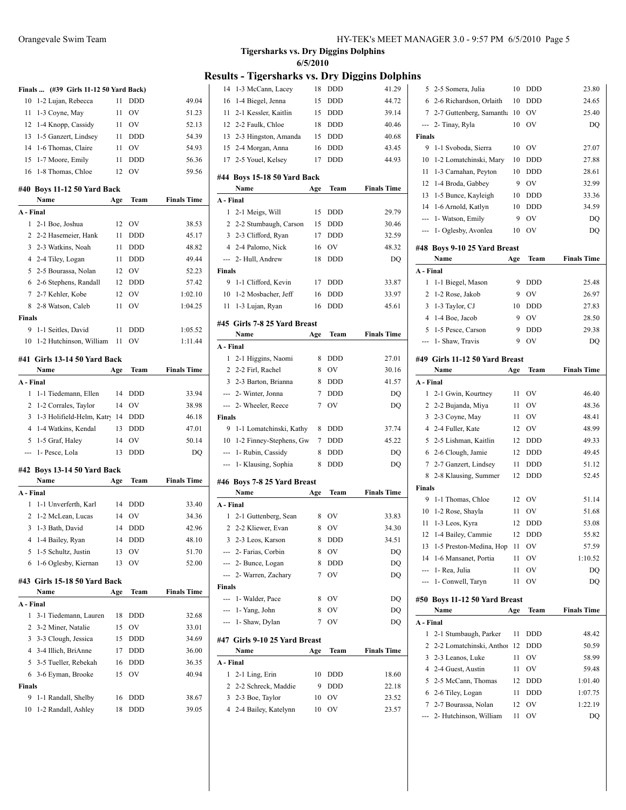|               | Finals  (#39 Girls 11-12 50 Yard Back) |     |            |                    |
|---------------|----------------------------------------|-----|------------|--------------------|
| 10            | 1-2 Lujan, Rebecca                     | 11  | <b>DDD</b> | 49.04              |
| 11            | 1-3 Coyne, May                         | 11  | OV         | 51.23              |
| 12            | 1-4 Knopp, Cassidy                     | 11  | OV         | 52.13              |
| 13            | 1-5 Ganzert, Lindsey                   | 11  | <b>DDD</b> | 54.39              |
| 14            | 1-6 Thomas, Claire                     | 11  | OV         | 54.93              |
| 15            | 1-7 Moore, Emily                       | 11  | DDD        | 56.36              |
| 16            | 1-8 Thomas, Chloe                      | 12  | OV         | 59.56              |
|               | #40 Boys 11-12 50 Yard Back<br>Name    | Age | Team       | <b>Finals Time</b> |
| A - Final     |                                        |     |            |                    |
| 1             | 2-1 Boe, Joshua                        | 12  | OV         | 38.53              |
| 2             | 2-2 Hasemeier, Hank                    | 11  | <b>DDD</b> | 45.17              |
| 3             | 2-3 Watkins, Noah                      | 11  | <b>DDD</b> | 48.82              |
| 4             | 2-4 Tiley, Logan                       | 11  | <b>DDD</b> | 49.44              |
| 5.            | 2-5 Bourassa, Nolan                    | 12  | OV         | 52.23              |
| 6             | 2-6 Stephens, Randall                  | 12  | <b>DDD</b> | 57.42              |
| 7             | 2-7 Kehler, Kobe                       | 12  | OV         | 1:02.10            |
| 8             | 2-8 Watson, Caleb                      | 11  | OV         | 1:04.25            |
| <b>Finals</b> |                                        |     |            |                    |
| 9             | 1-1 Seitles, David                     | 11  | <b>DDD</b> | 1:05.52            |
| 10            | 1-2 Hutchinson, William                | 11  | OV         | 1:11.44            |
|               | #41 Girls 13-14 50 Yard Back           |     |            |                    |
|               | Name                                   | Age | Team       | <b>Finals Time</b> |
| A - Final     |                                        |     |            |                    |
| 1             | 1-1 Tiedemann, Ellen                   | 14  | <b>DDD</b> | 33.94              |
| 2             | 1-2 Corrales, Taylor                   | 14  | OV         | 38.98              |
| 3             | 1-3 Holifield-Helm, Katry 14           |     | <b>DDD</b> | 46.18              |
| 4             | 1-4 Watkins, Kendal                    | 13  | <b>DDD</b> | 47.01              |
| 5             | 1-5 Graf, Haley                        | 14  | OV         | 50.14              |
| ---           | 1- Pesce, Lola                         | 13  | <b>DDD</b> | DQ                 |
|               | #42 Boys 13-14 50 Yard Back            |     |            |                    |
|               | Name                                   | Age | Team       | <b>Finals Time</b> |
| A - Final     |                                        |     |            |                    |
| 1             | 1-1 Unverferth, Karl                   | 14  | <b>DDD</b> | 33.40              |
| 2             | 1-2 McLean, Lucas                      | 14  | OV         | 34.36              |
| 3             | 1-3 Bath, David                        | 14  | DDD        | 42.96              |
| 4             | 1-4 Bailey, Ryan                       | 14  | DDD        | 48.10              |
| 5             | 1-5 Schultz, Justin                    | 13  | OV         | 51.70              |
| 6             | 1-6 Oglesby, Kiernan                   | 13  | ov         | 52.00              |
| #43           | Girls 15-18 50 Yard Back               |     |            |                    |
|               | Name                                   | Age | Team       | <b>Finals Time</b> |
| A - Final     |                                        |     |            |                    |
| 1             | 3-1 Tiedemann, Lauren                  | 18  | DDD        | 32.68              |
| 2             | 3-2 Miner, Natalie                     | 15  | OV         | 33.01              |
| 3             | 3-3 Clough, Jessica                    | 15  | DDD        | 34.69              |
| 4             | 3-4 Illich, BriAnne                    | 17  | DDD        | 36.00              |
| 5             | 3-5 Tueller, Rebekah                   | 16  | DDD        | 36.35              |
| 6             | 3-6 Eyman, Brooke                      | 15  | OV         | 40.94              |
| Finals        |                                        |     |            |                    |
| 9             | 1-1 Randall, Shelby                    | 16  | DDD        | 38.67              |
| 10            | 1-2 Randall, Ashley                    | 18  | DDD        | 39.05              |
|               |                                        |     |            |                    |

| A - Final<br>1<br>2<br>3<br>---<br>Finals<br>ш.,<br>---<br>A - Final<br>1<br>2<br>3<br>4 | 2-1 Guttenberg, Sean<br>2-2 Kliewer, Evan<br>2-3 Leos, Karson<br>--- 2- Farias, Corbin<br>--- 2- Bunce, Logan<br>2- Warren, Zachary<br>1- Walder, Pace<br>1- Yang, John<br>1- Shaw, Dylan<br>#47 Girls 9-10 25 Yard Breast<br>Name<br>2-1 Ling, Erin<br>2-2 Schreck, Maddie<br>2-3 Boe, Taylor<br>2-4 Bailey, Katelynn | Age<br>8<br>8<br>8<br>8<br>8<br>7<br>8<br>8<br>7<br>Age<br>10<br>9<br>10<br>10 | Team<br>OV<br>OV<br>DDD<br>OV<br>DDD<br>OV<br>OV<br>OV<br>OV<br>Team<br><b>DDD</b><br>DDD<br>OV<br>OV | <b>Finals Time</b><br>33.83<br>34.30<br>34.51<br>DQ<br>DQ<br>DQ<br>DQ<br>DQ<br>DQ<br><b>Finals Time</b><br>18.60<br>22.18<br>23.52<br>23.57 |
|------------------------------------------------------------------------------------------|------------------------------------------------------------------------------------------------------------------------------------------------------------------------------------------------------------------------------------------------------------------------------------------------------------------------|--------------------------------------------------------------------------------|-------------------------------------------------------------------------------------------------------|---------------------------------------------------------------------------------------------------------------------------------------------|
|                                                                                          |                                                                                                                                                                                                                                                                                                                        |                                                                                |                                                                                                       |                                                                                                                                             |
|                                                                                          |                                                                                                                                                                                                                                                                                                                        |                                                                                |                                                                                                       |                                                                                                                                             |
|                                                                                          |                                                                                                                                                                                                                                                                                                                        |                                                                                |                                                                                                       |                                                                                                                                             |
|                                                                                          |                                                                                                                                                                                                                                                                                                                        |                                                                                |                                                                                                       |                                                                                                                                             |
|                                                                                          |                                                                                                                                                                                                                                                                                                                        |                                                                                |                                                                                                       |                                                                                                                                             |
|                                                                                          |                                                                                                                                                                                                                                                                                                                        |                                                                                |                                                                                                       |                                                                                                                                             |
|                                                                                          |                                                                                                                                                                                                                                                                                                                        |                                                                                |                                                                                                       |                                                                                                                                             |
|                                                                                          |                                                                                                                                                                                                                                                                                                                        |                                                                                |                                                                                                       |                                                                                                                                             |
|                                                                                          |                                                                                                                                                                                                                                                                                                                        |                                                                                |                                                                                                       |                                                                                                                                             |
|                                                                                          |                                                                                                                                                                                                                                                                                                                        |                                                                                |                                                                                                       |                                                                                                                                             |
|                                                                                          |                                                                                                                                                                                                                                                                                                                        |                                                                                |                                                                                                       |                                                                                                                                             |
|                                                                                          |                                                                                                                                                                                                                                                                                                                        |                                                                                |                                                                                                       |                                                                                                                                             |
|                                                                                          |                                                                                                                                                                                                                                                                                                                        |                                                                                |                                                                                                       |                                                                                                                                             |
|                                                                                          |                                                                                                                                                                                                                                                                                                                        |                                                                                |                                                                                                       |                                                                                                                                             |
|                                                                                          |                                                                                                                                                                                                                                                                                                                        |                                                                                |                                                                                                       |                                                                                                                                             |
|                                                                                          |                                                                                                                                                                                                                                                                                                                        |                                                                                |                                                                                                       |                                                                                                                                             |
|                                                                                          |                                                                                                                                                                                                                                                                                                                        |                                                                                |                                                                                                       |                                                                                                                                             |
|                                                                                          |                                                                                                                                                                                                                                                                                                                        |                                                                                |                                                                                                       |                                                                                                                                             |
|                                                                                          |                                                                                                                                                                                                                                                                                                                        |                                                                                |                                                                                                       |                                                                                                                                             |
|                                                                                          | Name                                                                                                                                                                                                                                                                                                                   |                                                                                |                                                                                                       |                                                                                                                                             |
|                                                                                          | #46 Boys 7-8 25 Yard Breast                                                                                                                                                                                                                                                                                            |                                                                                |                                                                                                       |                                                                                                                                             |
| ---                                                                                      | 1- Klausing, Sophia                                                                                                                                                                                                                                                                                                    | 8                                                                              | DDD                                                                                                   | DQ                                                                                                                                          |
| ---                                                                                      | 1- Rubin, Cassidy                                                                                                                                                                                                                                                                                                      | 8                                                                              | DDD                                                                                                   | DQ                                                                                                                                          |
| 10                                                                                       | 1-2 Finney-Stephens, Gw                                                                                                                                                                                                                                                                                                | 7                                                                              | <b>DDD</b>                                                                                            | 45.22                                                                                                                                       |
| 9                                                                                        | 1-1 Lomatchinski, Kathy                                                                                                                                                                                                                                                                                                | 8                                                                              | <b>DDD</b>                                                                                            | 37.74                                                                                                                                       |
| Finals                                                                                   |                                                                                                                                                                                                                                                                                                                        |                                                                                |                                                                                                       |                                                                                                                                             |
| ---                                                                                      | 2- Wheeler, Reece                                                                                                                                                                                                                                                                                                      | 7                                                                              | OV                                                                                                    | DQ                                                                                                                                          |
|                                                                                          | --- 2- Winter, Jonna                                                                                                                                                                                                                                                                                                   | 7                                                                              | <b>DDD</b>                                                                                            | DQ                                                                                                                                          |
| 3                                                                                        | 2-3 Barton, Brianna                                                                                                                                                                                                                                                                                                    | 8                                                                              | <b>DDD</b>                                                                                            | 41.57                                                                                                                                       |
| 2                                                                                        | 2-2 Firl, Rachel                                                                                                                                                                                                                                                                                                       | 8                                                                              | OV                                                                                                    | 30.16                                                                                                                                       |
| 1                                                                                        | 2-1 Higgins, Naomi                                                                                                                                                                                                                                                                                                     | 8                                                                              | <b>DDD</b>                                                                                            | 27.01                                                                                                                                       |
| A - Final                                                                                |                                                                                                                                                                                                                                                                                                                        |                                                                                |                                                                                                       |                                                                                                                                             |
|                                                                                          | Name                                                                                                                                                                                                                                                                                                                   | Age                                                                            | Team                                                                                                  | <b>Finals Time</b>                                                                                                                          |
|                                                                                          | #45 Girls 7-8 25 Yard Breast                                                                                                                                                                                                                                                                                           |                                                                                |                                                                                                       |                                                                                                                                             |
|                                                                                          |                                                                                                                                                                                                                                                                                                                        |                                                                                |                                                                                                       |                                                                                                                                             |
| 11                                                                                       | 1-3 Lujan, Ryan                                                                                                                                                                                                                                                                                                        | 16                                                                             | DDD                                                                                                   | 45.61                                                                                                                                       |
| 10                                                                                       | 1-2 Mosbacher, Jeff                                                                                                                                                                                                                                                                                                    | 16                                                                             | DDD                                                                                                   | 33.97                                                                                                                                       |
| 9                                                                                        | 1-1 Clifford, Kevin                                                                                                                                                                                                                                                                                                    | 17                                                                             | <b>DDD</b>                                                                                            | 33.87                                                                                                                                       |
| <b>Finals</b>                                                                            |                                                                                                                                                                                                                                                                                                                        |                                                                                |                                                                                                       |                                                                                                                                             |
| ---                                                                                      | 2- Hull, Andrew                                                                                                                                                                                                                                                                                                        | 18                                                                             | DDD                                                                                                   | DQ                                                                                                                                          |
| $\overline{4}$                                                                           | 2-4 Palomo, Nick                                                                                                                                                                                                                                                                                                       | 16                                                                             | OV                                                                                                    | 48.32                                                                                                                                       |
| 3                                                                                        | 2-3 Clifford, Ryan                                                                                                                                                                                                                                                                                                     | 17                                                                             | <b>DDD</b>                                                                                            | 32.59                                                                                                                                       |
| 2                                                                                        | 2-2 Stumbaugh, Carson                                                                                                                                                                                                                                                                                                  | 15                                                                             | <b>DDD</b>                                                                                            | 30.46                                                                                                                                       |
| 1                                                                                        | 2-1 Meigs, Will                                                                                                                                                                                                                                                                                                        | 15                                                                             | <b>DDD</b>                                                                                            | 29.79                                                                                                                                       |
| A - Final                                                                                |                                                                                                                                                                                                                                                                                                                        |                                                                                |                                                                                                       |                                                                                                                                             |
|                                                                                          | #44 Boys 15-18 50 Yard Back<br>Name                                                                                                                                                                                                                                                                                    | Age                                                                            | Team                                                                                                  | <b>Finals Time</b>                                                                                                                          |
|                                                                                          |                                                                                                                                                                                                                                                                                                                        |                                                                                |                                                                                                       |                                                                                                                                             |
| 17                                                                                       | 2-5 Youel, Kelsey                                                                                                                                                                                                                                                                                                      | 17                                                                             | DDD                                                                                                   | 44.93                                                                                                                                       |
| 15                                                                                       | 2-4 Morgan, Anna                                                                                                                                                                                                                                                                                                       | 16                                                                             | DDD                                                                                                   | 43.45                                                                                                                                       |
| 13                                                                                       | 2-3 Hingston, Amanda                                                                                                                                                                                                                                                                                                   | 15                                                                             | <b>DDD</b>                                                                                            | 40.68                                                                                                                                       |
| 12                                                                                       | 2-2 Faulk, Chloe                                                                                                                                                                                                                                                                                                       | 18                                                                             | <b>DDD</b>                                                                                            | 40.46                                                                                                                                       |
|                                                                                          | 2-1 Kessler, Kaitlin                                                                                                                                                                                                                                                                                                   | 15                                                                             | <b>DDD</b>                                                                                            | 39.14                                                                                                                                       |
| 11                                                                                       | 1-4 Biegel, Jenna                                                                                                                                                                                                                                                                                                      | 15                                                                             | DDD                                                                                                   | 44.72                                                                                                                                       |
| 14<br>16                                                                                 | 1-3 McCann, Lacey                                                                                                                                                                                                                                                                                                      | 18                                                                             | DDD                                                                                                   | 41.29                                                                                                                                       |

| 5              |                                               |          |            |                    |
|----------------|-----------------------------------------------|----------|------------|--------------------|
|                | 2-5 Somera, Julia                             | 10       | DDD        | 23.80              |
| 6              | 2-6 Richardson, Orlaith                       | 10       | DDD        | 24.65              |
| 7              | 2-7 Guttenberg, Samantha                      | 10       | OV         | 25.40              |
| ---            | 2- Tinay, Ryla                                | 10       | OV         | DQ                 |
| Finals         |                                               |          |            |                    |
| 9              | 1-1 Svoboda, Sierra                           | 10       | OV         | 27.07              |
| 10             | 1-2 Lomatchinski, Mary                        | 10       | DDD        | 27.88              |
| 11             | 1-3 Carnahan, Peyton                          | 10       | DDD        | 28.61              |
| 12             | 1-4 Broda, Gabbey                             | 9        | OV         | 32.99              |
| 13             | 1-5 Bunce, Kayleigh                           | 10       | DDD        | 33.36              |
| 14             | 1-6 Arnold, Katlyn                            | 10       | DDD        | 34.59              |
| $\overline{a}$ | 1- Watson, Emily                              | 9        | OV         | DQ                 |
| ---            | 1- Oglesby, Avonlea                           | 10       | OV         | DQ                 |
|                |                                               |          |            |                    |
|                | #48 Boys 9-10 25 Yard Breast<br>Name          |          | Team       | <b>Finals Time</b> |
| A - Final      |                                               | Age      |            |                    |
| 1              |                                               | 9        | <b>DDD</b> | 25.48              |
|                | 1-1 Biegel, Mason                             |          |            |                    |
| 2              | 1-2 Rose, Jakob                               | 9        | OV         | 26.97              |
| 3              | 1-3 Taylor, CJ                                | 10       | DDD        | 27.83              |
| $\overline{4}$ | 1-4 Boe, Jacob                                | 9        | OV         | 28.50              |
| 5              | 1-5 Pesce, Carson                             | 9        | DDD        | 29.38              |
| ---            | 1- Shaw, Travis                               | 9        | OV         | DO                 |
|                | #49 Girls 11-12 50 Yard Breast                |          |            |                    |
|                | Name                                          | Age      | Team       | <b>Finals Time</b> |
| A - Final      |                                               |          |            |                    |
| 1              | 2-1 Gwin, Kourtney                            | 11       | OV         | 46.40              |
| 2              | 2-2 Bujanda, Miya                             | 11       | OV         | 48.36              |
| 3              | 2-3 Coyne, May                                | 11       | OV         | 48.41              |
|                |                                               |          |            |                    |
|                | 4 2-4 Fuller, Kate                            | 12       | OV         | 48.99              |
| 5              | 2-5 Lishman, Kaitlin                          | 12       | DDD        | 49.33              |
| 6              | 2-6 Clough, Jamie                             | 12       | DDD        | 49.45              |
| 7              | 2-7 Ganzert, Lindsey                          | 11       | DDD        | 51.12              |
| 8              | 2-8 Klausing, Summer                          | 12       | DDD        | 52.45              |
| Finals         |                                               |          |            |                    |
| 9              | 1-1 Thomas, Chloe                             | 12       | OV         | 51.14              |
| 10             | 1-2 Rose, Shayla                              | 11       | OV         | 51.68              |
| 11             | 1-3 Leos, Kyra                                | 12       | <b>DDD</b> | 53.08              |
|                | 12 1-4 Bailey, Cammie                         | 12       | DDD        | 55.82              |
| 13             | 1-5 Preston-Medina, Hop                       | 11       | OV         | 57.59              |
| 14             | 1-6 Mansanet, Portia                          | 11       | OV         | 1:10.52            |
| ---            | 1- Rea, Julia                                 | 11       | OV         | DO                 |
| ---            | 1- Conwell, Taryn                             | 11       | OV         | DQ                 |
|                |                                               |          |            |                    |
|                | #50  Boys 11-12 50 Yard Breast                |          |            |                    |
|                | Name                                          | Age      | Team       | <b>Finals Time</b> |
| A - Final      |                                               |          |            |                    |
| 1              | 2-1 Stumbaugh, Parker                         | 11       | <b>DDD</b> | 48.42              |
| 2              | 2-2 Lomatchinski, Anthor                      | 12       | DDD        | 50.59              |
| 3              | 2-3 Leanos, Luke                              | 11       | OV         | 58.99              |
| 4              | 2-4 Guest, Austin                             | 11       | OV         | 59.48              |
| 5              | 2-5 McCann, Thomas                            | 12       | DDD        | 1:01.40            |
| 6              | 2-6 Tiley, Logan                              | 11       | DDD        | 1:07.75            |
| 7<br>---       | 2-7 Bourassa, Nolan<br>2- Hutchinson, William | 12<br>11 | OV<br>OV   | 1:22.19<br>DQ      |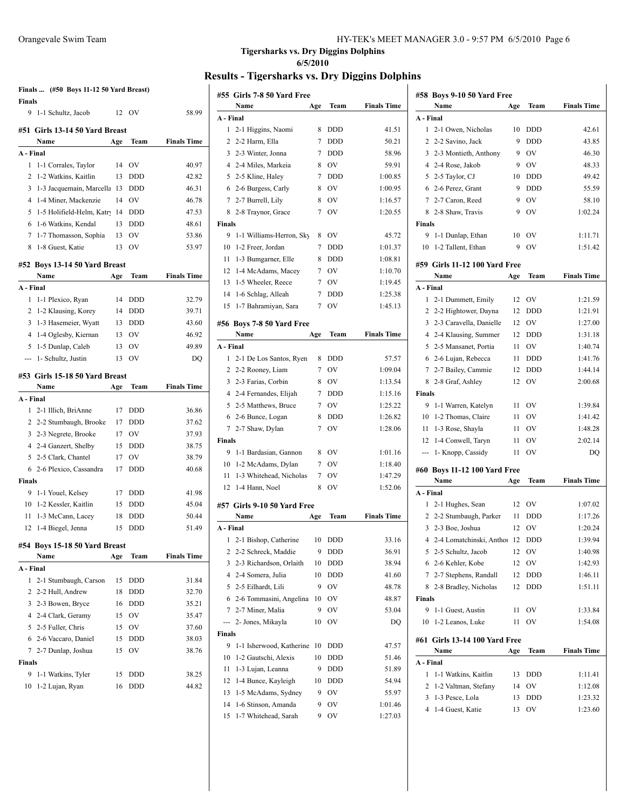|                | Finals  (#50 Boys 11-12 50 Yard Breast) |     |            |                    |
|----------------|-----------------------------------------|-----|------------|--------------------|
| <b>Finals</b>  |                                         |     |            |                    |
| 9              | 1-1 Schultz, Jacob                      | 12  | OV         | 58.99              |
|                | #51 Girls 13-14 50 Yard Breast          |     |            |                    |
|                | Name                                    | Age | Team       | <b>Finals Time</b> |
| A - Final      |                                         |     |            |                    |
| 1              | 1-1 Corrales, Taylor                    | 14  | OV         | 40.97              |
| 2              | 1-2 Watkins, Kaitlin                    | 13  | DDD        | 42.82              |
| 3              | 1-3 Jacquemain, Marcella                | 13  | <b>DDD</b> | 46.31              |
| 4              | 1-4 Miner, Mackenzie                    | 14  | OV         | 46.78              |
| 5              | 1-5 Holifield-Helm, Katry               | 14  | DDD        | 47.53              |
| 6              | 1-6 Watkins, Kendal                     | 13  | <b>DDD</b> | 48.61              |
| 7              | 1-7 Thomasson, Sophia                   | 13  | OV         | 53.86              |
| 8              | 1-8 Guest, Katie                        | 13  | OV         | 53.97              |
|                | #52 Boys 13-14 50 Yard Breast           |     |            |                    |
|                | Name                                    | Age | Team       | <b>Finals Time</b> |
| A - Final      |                                         |     |            |                    |
| 1              | 1-1 Plexico, Ryan                       | 14  | DDD        | 32.79              |
| 2              | 1-2 Klausing, Korey                     | 14  | <b>DDD</b> | 39.71              |
| 3              | 1-3 Hasemeier, Wyatt                    | 13  | <b>DDD</b> | 43.60              |
| $\overline{4}$ | 1-4 Oglesby, Kiernan                    | 13  | OV         | 46.92              |
| 5              | 1-5 Dunlap, Caleb                       | 13  | OV         | 49.89              |
| ---            | 1- Schultz, Justin                      | 13  | OV         | DO                 |
|                |                                         |     |            |                    |
|                | #53 Girls 15-18 50 Yard Breast<br>Name  | Age | Team       | <b>Finals Time</b> |
| A - Final      |                                         |     |            |                    |
| 1              | 2-1 Illich, BriAnne                     | 17  | <b>DDD</b> | 36.86              |
| $\overline{c}$ | 2-2 Stumbaugh, Brooke                   | 17  | DDD        | 37.62              |
| 3              | 2-3 Negrete, Brooke                     | 17  | OV         | 37.93              |
| $\overline{4}$ | 2-4 Ganzert, Shelby                     | 15  | <b>DDD</b> | 38.75              |
| 5              | 2-5 Clark, Chantel                      | 17  | OV         | 38.79              |
| 6              | 2-6 Plexico, Cassandra                  | 17  | <b>DDD</b> | 40.68              |
| <b>Finals</b>  |                                         |     |            |                    |
| 9              | 1-1 Youel, Kelsey                       | 17  | <b>DDD</b> | 41.98              |
| 10             | 1-2 Kessler, Kaitlin                    | 15  | <b>DDD</b> | 45.04              |
| 11             | 1-3 McCann, Lacey                       | 18  | <b>DDD</b> | 50.44              |
|                | 12 1-4 Biegel, Jenna                    | 15  | <b>DDD</b> | 51.49              |
|                |                                         |     |            |                    |
|                | #54 Boys 15-18 50 Yard Breast           |     |            |                    |
|                | Name                                    | Age | Team       | <b>Finals Time</b> |
| A - Final      |                                         |     |            |                    |
| 1              | 2-1 Stumbaugh, Carson                   | 15  | DDD        | 31.84              |
| 2              | 2-2 Hull, Andrew                        | 18  | DDD        | 32.70              |
| 3              | 2-3 Bowen, Bryce                        | 16  | DDD        | 35.21              |
|                | 4 2-4 Clark, Geramy                     | 15  | OV         | 35.47              |
| 5              | 2-5 Fuller, Chris                       | 15  | OV         | 37.60              |
| 6              | 2-6 Vaccaro, Daniel                     | 15  | <b>DDD</b> | 38.03              |
|                | 7 2-7 Dunlap, Joshua                    | 15  | OV         | 38.76              |
| <b>Finals</b>  | 1-1 Watkins, Tyler                      | 15  | DDD        | 38.25              |
|                |                                         |     |            |                    |
| 9<br>10        | 1-2 Lujan, Ryan                         | 16  | DDD        | 44.82              |

|                 | #55 Girls 7-8 50 Yard Free           |     |            |                    |
|-----------------|--------------------------------------|-----|------------|--------------------|
| A - Final       | Name                                 | Age | Team       | <b>Finals Time</b> |
| 1               |                                      | 8   | DDD        | 41.51              |
| 2               | 2-1 Higgins, Naomi<br>2-2 Harm, Ella | 7   | <b>DDD</b> | 50.21              |
| 3               | 2-3 Winter, Jonna                    | 7   | <b>DDD</b> | 58.96              |
| 4               | 2-4 Miles, Markeia                   | 8   | OV         | 59.91              |
| 5               | 2-5 Kline, Haley                     | 7   | <b>DDD</b> | 1:00.85            |
| 6               | 2-6 Burgess, Carly                   | 8   | <b>OV</b>  | 1:00.95            |
| 7               | 2-7 Burrell, Lily                    | 8   | OV         | 1:16.57            |
| 8               | 2-8 Traynor, Grace                   | 7   | OV         | 1:20.55            |
| <b>Finals</b>   |                                      |     |            |                    |
| 9               | 1-1 Williams-Herron, Sky             | 8   | OV         | 45.72              |
| 10              | 1-2 Freer, Jordan                    | 7   | <b>DDD</b> | 1:01.37            |
| 11              | 1-3 Bumgarner, Elle                  | 8   | <b>DDD</b> | 1:08.81            |
| 12              | 1-4 McAdams, Macey                   | 7   | OV         | 1:10.70            |
| 13              | 1-5 Wheeler, Reece                   | 7   | OV         | 1:19.45            |
| 14              | 1-6 Schlag, Alleah                   | 7   | <b>DDD</b> | 1:25.38            |
| 15              | 1-7 Bahramiyan, Sara                 | 7   | OV         | 1:45.13            |
|                 |                                      |     |            |                    |
|                 | #56 Boys 7-8 50 Yard Free            |     |            |                    |
|                 | Name                                 | Age | Team       | <b>Finals Time</b> |
| A - Final       |                                      |     |            |                    |
| 1               | 2-1 De Los Santos, Ryen              | 8   | DDD        | 57.57              |
| 2               | 2-2 Rooney, Liam                     | 7   | <b>OV</b>  | 1:09.04            |
| 3               | 2-3 Farias, Corbin                   | 8   | OV         | 1:13.54            |
| $\overline{4}$  | 2-4 Fernandes, Elijah                | 7   | <b>DDD</b> | 1:15.16            |
| 5               | 2-5 Matthews, Bruce                  | 7   | <b>OV</b>  | 1:25.22            |
| 6               | 2-6 Bunce, Logan                     | 8   | <b>DDD</b> | 1:26.82            |
| $7\phantom{.0}$ | 2-7 Shaw, Dylan                      | 7   | OV         | 1:28.06            |
| Finals          |                                      |     |            |                    |
| 9               | 1-1 Bardasian, Gannon                | 8   | <b>OV</b>  | 1:01.16            |
| 10              | 1-2 McAdams, Dylan                   | 7   | OV         | 1:18.40            |
| 11              | 1-3 Whitehead, Nicholas              | 7   | OV         | 1:47.29            |
| 12              | 1-4 Hann, Noel                       | 8   | OV         | 1:52.06            |
|                 | #57 Girls 9-10 50 Yard Free          |     |            |                    |
|                 | Name                                 | Age | Team       | <b>Finals Time</b> |
| A - Final       |                                      |     |            |                    |
| 1               | 2-1 Bishop, Catherine                | 10  | DDD        | 33.16              |
| 2               | 2-2 Schreck, Maddie                  | 9   | DDD        | 36.91              |
| 3               | 2-3 Richardson, Orlaith              | 10  | DDD        | 38.94              |
| 4               | 2-4 Somera, Julia                    | 10  | DDD        | 41.60              |
| 5               | 2-5 Eilhardt, Lili                   | 9   | OV         | 48.78              |
| 6               | 2-6 Tommasini, Angelina              | 10  | OV         | 48.87              |
| 7               | 2-7 Miner, Malia                     | 9   | OV         | 53.04              |
| ---             | 2- Jones, Mikayla                    | 10  | OV         | DQ                 |
| Finals          |                                      |     |            |                    |
| 9               | 1-1 Isherwood, Katherine             | 10  | DDD        | 47.57              |
| 10              | 1-2 Gautschi, Alexis                 | 10  | DDD        | 51.46              |
| 11              | 1-3 Lujan, Leanna                    | 9   | DDD        | 51.89              |
| 12              | 1-4 Bunce, Kayleigh                  | 10  | DDD        | 54.94              |
| 13              | 1-5 McAdams, Sydney                  | 9   | OV         | 55.97              |
| 14              | 1-6 Stinson, Amanda                  | 9   | OV         | 1:01.46            |
| 15              | 1-7 Whitehead, Sarah                 | 9   | OV         | 1:27.03            |

|                                              | #58 Boys 9-10 50 Yard Free<br>Name | Age      | Team             | <b>Finals Time</b>                                                                                                                                                |
|----------------------------------------------|------------------------------------|----------|------------------|-------------------------------------------------------------------------------------------------------------------------------------------------------------------|
| A - Final                                    |                                    |          |                  |                                                                                                                                                                   |
| 1                                            | 2-1 Owen, Nicholas                 | 10       | DDD              | 42.61                                                                                                                                                             |
| $\overline{2}$                               | 2-2 Savino, Jack                   | 9        | DDD              | 43.85                                                                                                                                                             |
|                                              | 3 2-3 Montieth, Anthony            | 9        | OV               | 46.30                                                                                                                                                             |
|                                              | 4 2-4 Rose, Jakob                  | 9        | OV               | 48.33                                                                                                                                                             |
|                                              | 5 2-5 Taylor, CJ                   | 10       | DDD              | 49.42                                                                                                                                                             |
|                                              | 6 2-6 Perez, Grant                 | 9        | <b>DDD</b>       | 55.59                                                                                                                                                             |
|                                              | 7 2-7 Caron, Reed                  | 9        | OV               | 58.10                                                                                                                                                             |
| 8                                            | 2-8 Shaw, Travis                   | 9        | OV               | 1:02.24                                                                                                                                                           |
| <b>Finals</b>                                |                                    |          |                  |                                                                                                                                                                   |
| 9                                            | 1-1 Dunlap, Ethan                  | 10       | OV               | 1:11.71                                                                                                                                                           |
| 10                                           | 1-2 Tallent, Ethan                 | 9        | OV               | 1:51.42                                                                                                                                                           |
|                                              |                                    |          |                  |                                                                                                                                                                   |
|                                              | #59 Girls 11-12 100 Yard Free      |          |                  |                                                                                                                                                                   |
|                                              | Name                               | Age      | Team             | <b>Finals Time</b>                                                                                                                                                |
| A - Final                                    |                                    |          |                  |                                                                                                                                                                   |
| 1                                            | 2-1 Dummett, Emily                 | 12       | OV               | 1:21.59                                                                                                                                                           |
|                                              | 2 2-2 Hightower, Dayna             | 12       | DDD              | 1:21.91                                                                                                                                                           |
| 3                                            | 2-3 Caravella, Danielle            | 12       | OV               | 1:27.00                                                                                                                                                           |
|                                              | 4 2-4 Klausing, Summer             | 12       | DDD              | 1:31.18                                                                                                                                                           |
| 5                                            | 2-5 Mansanet, Portia               | 11       | OV               | 1:40.74                                                                                                                                                           |
| 6                                            | 2-6 Lujan, Rebecca                 | 11       | <b>DDD</b>       | 1:41.76                                                                                                                                                           |
| 7                                            | 2-7 Bailey, Cammie                 | 12       | <b>DDD</b>       | 1:44.14                                                                                                                                                           |
| 8                                            | 2-8 Graf, Ashley                   | 12       | OV               | 2:00.68                                                                                                                                                           |
| <b>Finals</b>                                |                                    |          |                  |                                                                                                                                                                   |
| 9                                            | 1-1 Warren, Katelyn                | 11       | OV               | 1:39.84                                                                                                                                                           |
| 10                                           | 1-2 Thomas, Claire                 | 11       | OV               | 1:41.42                                                                                                                                                           |
| 11                                           | 1-3 Rose, Shayla                   | 11       | OV               | 1:48.28                                                                                                                                                           |
| 12                                           | 1-4 Conwell, Taryn                 | 11       | OV               | 2:02.14                                                                                                                                                           |
| ---                                          | 1- Knopp, Cassidy                  | 11       | OV               | DQ                                                                                                                                                                |
|                                              | #60 Boys 11-12 100 Yard Free       |          |                  |                                                                                                                                                                   |
|                                              |                                    |          | Team             | <b>Finals Time</b>                                                                                                                                                |
|                                              | Name                               | Age      |                  |                                                                                                                                                                   |
|                                              |                                    |          |                  |                                                                                                                                                                   |
| 1                                            |                                    | 12       |                  |                                                                                                                                                                   |
|                                              | 2-1 Hughes, Sean                   |          | OV               |                                                                                                                                                                   |
| $\overline{2}$<br>3                          | 2-2 Stumbaugh, Parker              | 11<br>12 | <b>DDD</b><br>OV |                                                                                                                                                                   |
| 4                                            | 2-3 Boe, Joshua                    |          |                  |                                                                                                                                                                   |
|                                              | 2-4 Lomatchinski, Anthor           | 12       | DDD              |                                                                                                                                                                   |
| 5                                            | 2-5 Schultz, Jacob                 | 12       | OV               |                                                                                                                                                                   |
|                                              | 6 2-6 Kehler, Kobe                 | 12       | OV               |                                                                                                                                                                   |
|                                              | 7 2-7 Stephens, Randall            | 12       | <b>DDD</b>       |                                                                                                                                                                   |
| 8                                            | 2-8 Bradley, Nicholas              | 12       | <b>DDD</b>       |                                                                                                                                                                   |
| 9                                            |                                    |          |                  |                                                                                                                                                                   |
|                                              | 1-1 Guest, Austin                  | 11       | OV               |                                                                                                                                                                   |
| 10                                           | 1-2 Leanos, Luke                   | 11       | OV               |                                                                                                                                                                   |
|                                              | #61 Girls 13-14 100 Yard Free      |          |                  |                                                                                                                                                                   |
|                                              | Name                               | Age      | Team             |                                                                                                                                                                   |
|                                              |                                    |          |                  |                                                                                                                                                                   |
| 1                                            | 1-1 Watkins, Kaitlin               | 13       | DDD              |                                                                                                                                                                   |
| 2                                            | 1-2 Valtman, Stefany               | 14       | OV               |                                                                                                                                                                   |
| A - Final<br><b>Finals</b><br>A - Final<br>3 | 1-3 Pesce, Lola                    | 13       | DDD              | 1:07.02<br>1:17.26<br>1:20.24<br>1:39.94<br>1:40.98<br>1:42.93<br>1:46.11<br>1:51.11<br>1:33.84<br>1:54.08<br><b>Finals Time</b><br>1:11.41<br>1:12.08<br>1:23.32 |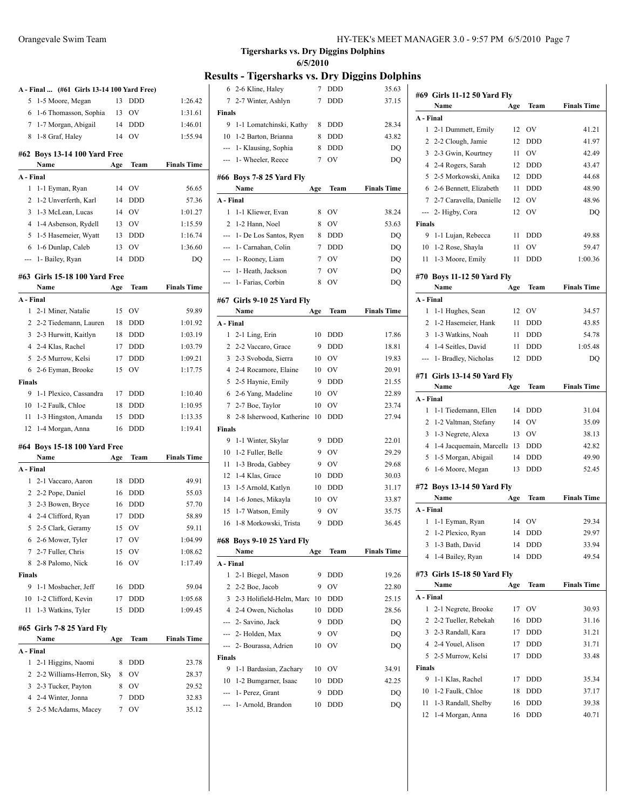|                |                                            |     |            | R                  |
|----------------|--------------------------------------------|-----|------------|--------------------|
|                | A - Final  (#61 Girls 13-14 100 Yard Free) |     |            |                    |
| 5              | 1-5 Moore, Megan                           | 13  | <b>DDD</b> | 1:26.42            |
| 6              | 1-6 Thomasson, Sophia                      | 13  | OV         | 1:31.61            |
| 7              | 1-7 Morgan, Abigail                        | 14  | <b>DDD</b> | 1:46.01            |
| 8              | 1-8 Graf, Haley                            | 14  | <b>OV</b>  | 1:55.94            |
|                | #62 Boys 13-14 100 Yard Free               |     |            |                    |
|                | Name                                       | Age | Team       | <b>Finals Time</b> |
| A - Final      |                                            |     |            |                    |
| 1              | 1-1 Eyman, Ryan                            | 14  | OV         | 56.65              |
| 2              | 1-2 Unverferth, Karl                       | 14  | <b>DDD</b> | 57.36              |
| 3              | 1-3 McLean, Lucas                          | 14  | OV         | 1:01.27            |
| 4              | 1-4 Asbenson, Rydell                       | 13  | OV         | 1:15.59            |
| 5              | 1-5 Hasemeier, Wyatt                       | 13  | <b>DDD</b> | 1:16.74            |
| 6              | 1-6 Dunlap, Caleb                          | 13  | OV         | 1:36.60            |
| ---            | 1- Bailey, Ryan                            | 14  | <b>DDD</b> | DQ                 |
|                | #63 Girls 15-18 100 Yard Free              |     |            |                    |
|                | Name                                       | Age | Team       | <b>Finals Time</b> |
| A - Final      |                                            |     |            |                    |
| 1              | 2-1 Miner, Natalie                         | 15  | <b>OV</b>  | 59.89              |
| 2              | 2-2 Tiedemann, Lauren                      | 18  | <b>DDD</b> | 1:01.92            |
| 3              | 2-3 Hurwitt, Kaitlyn                       | 18  | <b>DDD</b> | 1:03.19            |
| 4              | 2-4 Klas, Rachel                           | 17  | <b>DDD</b> | 1:03.79            |
| 5              | 2-5 Murrow, Kelsi                          | 17  | <b>DDD</b> | 1:09.21            |
| 6              | 2-6 Eyman, Brooke                          | 15  | OV         | 1:17.75            |
| <b>Finals</b>  |                                            |     |            |                    |
| 9              | 1-1 Plexico, Cassandra                     | 17  | DDD        | 1:10.40            |
|                | 10 1-2 Faulk, Chloe                        | 18  | <b>DDD</b> | 1:10.95            |
| 11             | 1-3 Hingston, Amanda                       | 15  | <b>DDD</b> | 1:13.35            |
| 12             | 1-4 Morgan, Anna                           | 16  | DDD        | 1:19.41            |
|                | #64 Boys 15-18 100 Yard Free               |     |            |                    |
|                | Name                                       | Age | Team       | <b>Finals Time</b> |
| A - Final      |                                            |     |            |                    |
| 1              | 2-1 Vaccaro, Aaron                         | 18  | <b>DDD</b> | 49.91              |
| $\mathbf{2}$   | 2-2 Pope, Daniel                           | 16  | <b>DDD</b> | 55.03              |
| 3              | 2-3 Bowen, Bryce                           | 16  | <b>DDD</b> | 57.70              |
| $\overline{4}$ | 2-4 Clifford, Ryan                         | 17  | <b>DDD</b> | 58.89              |
| 5              | 2-5 Clark, Geramy                          | 15  | OV         | 59.11              |
| 6              | 2-6 Mower, Tyler                           | 17  | OV         | 1:04.99            |
| 7              | 2-7 Fuller, Chris                          | 15  | OV         | 1:08.62            |
| 8              | 2-8 Palomo, Nick                           | 16  | ov         | 1:17.49            |
| <b>Finals</b>  |                                            |     |            |                    |
| 9              | 1-1 Mosbacher, Jeff                        | 16  | <b>DDD</b> | 59.04              |
| 10             | 1-2 Clifford, Kevin                        | 17  | DDD        | 1:05.68            |
| 11             | 1-3 Watkins, Tyler                         | 15  | DDD        | 1:09.45            |
|                | #65 Girls 7-8 25 Yard Fly                  |     |            |                    |
|                | Name                                       | Age | Team       | <b>Finals Time</b> |
|                |                                            |     |            |                    |
|                |                                            |     |            |                    |
| 1              | 2-1 Higgins, Naomi                         | 8   | DDD        | 23.78              |
| 2              | 2-2 Williams-Herron, Sky                   | 8   | OV         | 28.37              |
| 3              | 2-3 Tucker, Payton                         | 8   | OV         | 29.52              |
| A - Final<br>4 | 2-4 Winter, Jonna                          | 7   | DDD<br>OV  | 32.83              |

| 6              | 2-6 Kline, Haley           | 7   | DDD        | 35.63              |
|----------------|----------------------------|-----|------------|--------------------|
| 7              | 2-7 Winter, Ashlyn         | 7   | DDD        | 37.15              |
| Finals         |                            |     |            |                    |
| 9              | 1-1 Lomatchinski, Kathy    | 8   | DDD        | 28.34              |
| 10             | 1-2 Barton, Brianna        | 8   | <b>DDD</b> | 43.82              |
| ---            | 1- Klausing, Sophia        | 8   | <b>DDD</b> | DQ                 |
| ---            | 1- Wheeler, Reece          | 7   | OV         | DQ                 |
|                |                            |     |            |                    |
|                | #66 Boys 7-8 25 Yard Fly   |     |            |                    |
|                | Name                       | Age | Team       | <b>Finals Time</b> |
| A - Final      |                            |     |            |                    |
| 1              | 1-1 Kliewer, Evan          | 8   | OV         | 38.24              |
| 2              | 1-2 Hann, Noel             | 8   | OV         | 53.63              |
| ---            | 1- De Los Santos, Ryen     | 8   | <b>DDD</b> | DQ                 |
| ---            | 1- Carnahan, Colin         | 7   | <b>DDD</b> | DQ                 |
| ---            | 1- Rooney, Liam            | 7   | OV         | DQ                 |
| ---            | 1- Heath, Jackson          | 7   | OV         | DQ                 |
| ---            | 1- Farias, Corbin          | 8   | OV         | DQ                 |
|                | #67 Girls 9-10 25 Yard Fly |     |            |                    |
|                | Name                       | Age | Team       | <b>Finals Time</b> |
| A - Final      |                            |     |            |                    |
| 1              | 2-1 Ling, Erin             | 10  | <b>DDD</b> | 17.86              |
| 2              | 2-2 Vaccaro, Grace         | 9   | <b>DDD</b> | 18.81              |
| 3              | 2-3 Svoboda, Sierra        | 10  | OV         | 19.83              |
|                | 4 2-4 Rocamore, Elaine     | 10  | OV         | 20.91              |
| 5              | 2-5 Haynie, Emily          | 9   | <b>DDD</b> | 21.55              |
| 6              | 2-6 Yang, Madeline         | 10  | OV         | 22.89              |
| 7              | 2-7 Boe, Taylor            | 10  | OV         | 23.74              |
| 8              | 2-8 Isherwood, Katherine   | 10  | DDD        | 27.94              |
| Finals         |                            |     |            |                    |
| 9              | 1-1 Winter, Skylar         | 9   | <b>DDD</b> | 22.01              |
| 10             | 1-2 Fuller, Belle          | 9   | <b>OV</b>  | 29.29              |
|                |                            |     |            |                    |
| 11             | 1-3 Broda, Gabbey          | 9   | <b>OV</b>  | 29.68              |
| 12             | 1-4 Klas, Grace            | 10  | <b>DDD</b> | 30.03              |
| 13             | 1-5 Arnold, Katlyn         | 10  | DDD        | 31.17              |
| 14             | 1-6 Jones, Mikayla         | 10  | OV         | 33.87              |
| 15             | 1-7 Watson, Emily          | 9   | OV         | 35.75              |
| 16             | 1-8 Morkowski, Trista      | 9   | <b>DDD</b> | 36.45              |
|                | #68 Boys 9-10 25 Yard Fly  |     |            |                    |
|                | Name                       | Age | Team       | <b>Finals Time</b> |
| A - Final      |                            |     |            |                    |
| 1              | 2-1 Biegel, Mason          | 9   | <b>DDD</b> | 19.26              |
| $\overline{c}$ | 2-2 Boe, Jacob             | 9   | OV         | 22.80              |
| 3              | 2-3 Holifield-Helm, Marc   | 10  | DDD        | 25.15              |
| $\overline{4}$ |                            |     |            |                    |
|                | 2-4 Owen, Nicholas         | 10  | <b>DDD</b> | 28.56              |
| ---            | 2- Savino, Jack            | 9   | <b>DDD</b> | DQ                 |
| ---            | 2- Holden, Max             | 9   | OV         | DQ                 |
| ---            | 2- Bourassa, Adrien        | 10  | OV         | DQ                 |
| Finals         |                            |     |            |                    |
| 9              | 1-1 Bardasian, Zachary     | 10  | OV         | 34.91              |
| 10             | 1-2 Bumgarner, Isaac       | 10  | DDD        | 42.25              |
| ---            | 1- Perez, Grant            | 9   | DDD        | DQ                 |

|                                                 | #69  Girls 11-12 50 Yard Fly |     |                |                    |  |  |  |
|-------------------------------------------------|------------------------------|-----|----------------|--------------------|--|--|--|
|                                                 | Name                         | Age | Team           | <b>Finals Time</b> |  |  |  |
| A - Final                                       |                              |     |                |                    |  |  |  |
| $\mathbf{1}$                                    | 2-1 Dummett, Emily           | 12  | <b>OV</b>      | 41.21              |  |  |  |
| $\overline{2}$                                  | 2-2 Clough, Jamie            | 12  | <b>DDD</b>     | 41.97              |  |  |  |
| 3                                               | 2-3 Gwin, Kourtney           | 11  | <b>OV</b>      | 42.49              |  |  |  |
| $\overline{4}$                                  | 2-4 Rogers, Sarah            | 12  | <b>DDD</b>     | 43.47              |  |  |  |
| 5                                               | 2-5 Morkowski, Anika         | 12  | <b>DDD</b>     | 44.68              |  |  |  |
|                                                 | 6 2-6 Bennett, Elizabeth     | 11  | <b>DDD</b>     | 48.90              |  |  |  |
| $\tau$                                          | 2-7 Caravella, Danielle      | 12  | OV             | 48.96              |  |  |  |
| ---                                             | 2- Higby, Cora               | 12  | OV             | DO                 |  |  |  |
|                                                 |                              |     |                |                    |  |  |  |
| <b>Finals</b><br>9<br><b>DDD</b><br>49.88<br>11 |                              |     |                |                    |  |  |  |
| 10                                              | 1-1 Lujan, Rebecca           | 11  | OV             | 59.47              |  |  |  |
| 11                                              | 1-2 Rose, Shayla             | 11  | <b>DDD</b>     | 1:00.36            |  |  |  |
|                                                 | 1-3 Moore, Emily             |     |                |                    |  |  |  |
|                                                 | #70 Boys 11-12 50 Yard Fly   |     |                |                    |  |  |  |
|                                                 | Name                         | Age | Team           | <b>Finals Time</b> |  |  |  |
| A - Final                                       |                              |     |                |                    |  |  |  |
| 1                                               | 1-1 Hughes, Sean             | 12  | O <sub>V</sub> | 34.57              |  |  |  |
| 2                                               | 1-2 Hasemeier, Hank          | 11  | <b>DDD</b>     | 43.85              |  |  |  |
| 3                                               | 1-3 Watkins, Noah            | 11  | <b>DDD</b>     | 54.78              |  |  |  |
|                                                 | 4 1-4 Seitles, David         | 11  | <b>DDD</b>     | 1:05.48            |  |  |  |
| ---                                             | 1- Bradley, Nicholas         | 12  | <b>DDD</b>     | DO                 |  |  |  |
|                                                 |                              |     |                |                    |  |  |  |
|                                                 | #71 Girls 13-14 50 Yard Fly  |     |                |                    |  |  |  |
|                                                 | Name                         | Age | Team           | <b>Finals Time</b> |  |  |  |
| A - Final                                       |                              |     |                |                    |  |  |  |
| $\mathbf{1}$                                    | 1-1 Tiedemann, Ellen         | 14  | DDD            | 31.04              |  |  |  |
| $\overline{2}$                                  | 1-2 Valtman, Stefany         | 14  | OV             | 35.09              |  |  |  |
| 3                                               | 1-3 Negrete, Alexa           | 13  | OV             | 38.13              |  |  |  |
| $\overline{4}$                                  | 1-4 Jacquemain, Marcella     | 13  | DDD            | 42.82              |  |  |  |
| 5                                               | 1-5 Morgan, Abigail          | 14  | DDD            | 49.90              |  |  |  |
| 6                                               | 1-6 Moore, Megan             | 13  | <b>DDD</b>     | 52.45              |  |  |  |
|                                                 | #72 Boys 13-14 50 Yard Fly   |     |                |                    |  |  |  |
|                                                 | Name                         | Age | Team           | <b>Finals Time</b> |  |  |  |
| A - Final                                       |                              |     |                |                    |  |  |  |
| 1                                               | 1-1 Eyman, Ryan              | 14  | OV             | 29.34              |  |  |  |
| 2                                               | 1-2 Plexico, Ryan            | 14  | <b>DDD</b>     | 29.97              |  |  |  |
|                                                 | 1-3 Bath, David              | 14  |                | 33.94              |  |  |  |
| 3<br>4                                          |                              | 14  | DDD            | 49.54              |  |  |  |
|                                                 | 1-4 Bailey, Ryan             |     | DDD            |                    |  |  |  |
|                                                 | #73 Girls 15-18 50 Yard Fly  |     |                |                    |  |  |  |
|                                                 | Name                         | Age | Team           | <b>Finals Time</b> |  |  |  |
| A - Final                                       |                              |     |                |                    |  |  |  |
| 1                                               | 2-1 Negrete, Brooke          | 17  | OV             | 30.93              |  |  |  |
| 2                                               | 2-2 Tueller, Rebekah         | 16  | DDD            | 31.16              |  |  |  |
| 3                                               | 2-3 Randall, Kara            | 17  | DDD            | 31.21              |  |  |  |
| $\overline{4}$                                  | 2-4 Youel, Alison            | 17  | DDD            | 31.71              |  |  |  |
| 5                                               | 2-5 Murrow, Kelsi            | 17  | DDD            | 33.48              |  |  |  |
| Finals                                          |                              |     |                |                    |  |  |  |
| 9                                               | 1-1 Klas, Rachel             | 17  | DDD            | 35.34              |  |  |  |
| 10                                              | 1-2 Faulk, Chloe             | 18  | DDD            | 37.17              |  |  |  |
| 11                                              | 1-3 Randall, Shelby          | 16  | DDD            | 39.38              |  |  |  |
| 12                                              | 1-4 Morgan, Anna             | 16  | DDD            | 40.71              |  |  |  |
|                                                 |                              |     |                |                    |  |  |  |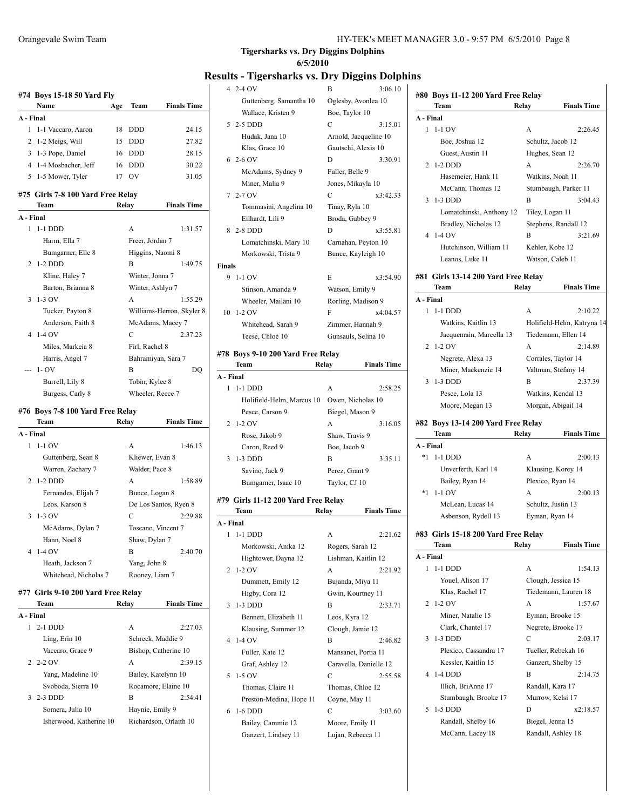|                | #74 Boys 15-18 50 Yard Fly        |     |                    |                           |
|----------------|-----------------------------------|-----|--------------------|---------------------------|
|                | Name                              | Age | Team               | <b>Finals Time</b>        |
| A - Final      |                                   |     |                    |                           |
| 1              | 1-1 Vaccaro, Aaron                | 18  | DDD                | 24.15                     |
| 2              | 1-2 Meigs, Will                   | 15  | <b>DDD</b>         | 27.82                     |
| 3              | 1-3 Pope, Daniel                  | 16  | <b>DDD</b>         | 28.15                     |
| 4              | 1-4 Mosbacher, Jeff               | 16  | <b>DDD</b>         | 30.22                     |
| 5              | 1-5 Mower, Tyler                  | 17  | OV                 | 31.05                     |
|                | #75 Girls 7-8 100 Yard Free Relay |     |                    |                           |
|                | Team                              |     | Relay              | <b>Finals Time</b>        |
| A - Final      |                                   |     |                    |                           |
| 1              | $1-1$ DDD                         |     | A                  | 1:31.57                   |
|                | Harm, Ella 7                      |     | Freer, Jordan 7    |                           |
|                | Bumgarner, Elle 8                 |     | Higgins, Naomi 8   |                           |
| $\overline{c}$ | $1-2$ DDD                         |     | B                  | 1:49.75                   |
|                | Kline, Haley 7                    |     | Winter, Jonna 7    |                           |
|                | Barton, Brianna 8                 |     | Winter, Ashlyn 7   |                           |
| 3              | 1-3 OV                            |     | A                  | 1:55.29                   |
|                | Tucker, Payton 8                  |     |                    | Williams-Herron, Skyler 8 |
|                | Anderson, Faith 8                 |     | McAdams, Macey 7   |                           |
| 4              | $1-4$ OV                          |     | C                  | 2:37.23                   |
|                | Miles, Markeia 8                  |     | Firl, Rachel 8     |                           |
|                | Harris, Angel 7                   |     | Bahramiyan, Sara 7 |                           |
|                | $1 - OV$                          |     | B                  | DO                        |
|                | Burrell, Lily 8                   |     | Tobin, Kylee 8     |                           |
|                | Burgess, Carly 8                  |     | Wheeler, Reece 7   |                           |
|                | #76 Boys 7-8 100 Yard Free Relay  |     |                    |                           |
|                | Team                              |     | Relay              | <b>Finals Time</b>        |
| A - Final      |                                   |     |                    |                           |
| 1              | $1-1$ OV                          |     | A                  | 1:46.13                   |
|                | Guttenberg, Sean 8                |     | Kliewer, Evan 8    |                           |
|                | Warren, Zachary 7                 |     | Walder, Pace 8     |                           |

| $\frac{1}{1}$         | $m$ uruvi, 1 uvv $v$  |         |
|-----------------------|-----------------------|---------|
| 2 1-2 DDD             | A                     | 1:58.89 |
| Fernandes, Elijah 7   | Bunce, Logan 8        |         |
| Leos, Karson 8        | De Los Santos, Ryen 8 |         |
| $3 \t1-3$ OV          | C                     | 2:29.88 |
| McAdams, Dylan 7      | Toscano, Vincent 7    |         |
| Hann, Noel 8          | Shaw, Dylan 7         |         |
| 4 1-4 OV              | В                     | 2:40.70 |
| Heath, Jackson 7      | Yang, John 8          |         |
| Whitehead, Nicholas 7 | Rooney, Liam 7        |         |
|                       |                       |         |

#### **#77 Girls 9-10 200 Yard Free Relay Team Relay Finals Time**

| A - Final |                         |                        |         |
|-----------|-------------------------|------------------------|---------|
| 1.        | $2-1$ DDD               | A                      | 2:27.03 |
|           | Ling, Erin 10           | Schreck. Maddie 9      |         |
|           | Vaccaro, Grace 9        | Bishop, Catherine 10   |         |
|           | $2\;2-2\;0V$            | A                      | 2:39.15 |
|           | Yang, Madeline 10       | Bailey, Katelynn 10    |         |
|           | Svoboda, Sierra 10      | Rocamore, Elaine 10    |         |
|           | $3\quad 2-3$ DDD        | В                      | 2:54.41 |
|           | Somera, Julia 10        | Haynie, Emily 9        |         |
|           | Isherwood, Katherine 10 | Richardson, Orlaith 10 |         |
|           |                         |                        |         |

## **Tigersharks vs. Dry Diggins Dolphins 6/5/2010**

|               | 4 2-4 OV                                    | B<br>3:06.10                | #80 Boys 11-12 200 Yard Free Relay         |                             |
|---------------|---------------------------------------------|-----------------------------|--------------------------------------------|-----------------------------|
|               | Guttenberg, Samantha 10                     | Oglesby, Avonlea 10         | Team                                       | Relay<br><b>Finals Time</b> |
|               | Wallace, Kristen 9                          | Boe, Taylor 10              | A - Final                                  |                             |
|               | 5 2-5 DDD                                   | $\mathcal{C}$<br>3:15.01    | $1 - 1 - 1$ OV                             | 2:26.45<br>A                |
|               | Hudak, Jana 10                              | Arnold, Jacqueline 10       | Boe, Joshua 12                             | Schultz, Jacob 12           |
|               | Klas, Grace 10                              | Gautschi, Alexis 10         | Guest, Austin 11                           | Hughes, Sean 12             |
|               | $62-6$ OV                                   | D<br>3:30.91                | 2 1-2 DDD                                  | 2:26.70<br>A                |
|               | McAdams, Sydney 9                           | Fuller, Belle 9             | Hasemeier, Hank 11                         | Watkins, Noah 11            |
|               | Miner, Malia 9                              | Jones, Mikayla 10           | McCann, Thomas 12                          | Stumbaugh, Parker 11        |
|               | $72-7$ OV                                   | C<br>x3:42.33               | 3 1-3 DDD                                  | B<br>3:04.43                |
|               | Tommasini, Angelina 10                      | Tinay, Ryla 10              | Lomatchinski, Anthony 12                   | Tiley, Logan 11             |
|               | Eilhardt, Lili 9                            | Broda, Gabbey 9             | Bradley, Nicholas 12                       | Stephens, Randall 12        |
|               | 8 2-8 DDD                                   | D<br>x3:55.81               | 4 1-4 OV                                   | B<br>3:21.69                |
|               | Lomatchinski, Mary 10                       | Carnahan, Peyton 10         | Hutchinson, William 11                     | Kehler, Kobe 12             |
|               | Morkowski, Trista 9                         | Bunce, Kayleigh 10          | Leanos, Luke 11                            | Watson, Caleb 11            |
| <b>Finals</b> |                                             |                             |                                            |                             |
|               | 9 1-1 OV                                    | E<br>x3:54.90               | #81 Girls 13-14 200 Yard Free Relay        |                             |
|               | Stinson, Amanda 9                           | Watson, Emily 9             | Team                                       | <b>Finals Time</b><br>Relay |
|               | Wheeler, Mailani 10                         | Rorling, Madison 9          | A - Final                                  |                             |
|               | 10 1-2 OV                                   | F<br>x4:04.57               | 1 1-1 DDD                                  | A<br>2:10.22                |
|               | Whitehead, Sarah 9                          | Zimmer, Hannah 9            | Watkins, Kaitlin 13                        | Holifield-Helm, Katryna 14  |
|               | Teese, Chloe 10                             | Gunsauls, Selina 10         | Jacquemain, Marcella 13                    | Tiedemann, Ellen 14         |
|               |                                             |                             | 2 1-2 OV                                   | A<br>2:14.89                |
|               | #78 Boys 9-10 200 Yard Free Relay<br>Team   | Relay<br><b>Finals Time</b> | Negrete, Alexa 13                          | Corrales, Taylor 14         |
| A - Final     |                                             |                             | Miner, Mackenzie 14                        | Valtman, Stefany 14         |
|               | 1 1-1 DDD                                   | 2:58.25<br>A                | 3 1-3 DDD                                  | B<br>2:37.39                |
|               |                                             |                             | Pesce, Lola 13                             | Watkins, Kendal 13          |
|               | Holifield-Helm, Marcus 10 Owen, Nicholas 10 |                             | Moore, Megan 13                            | Morgan, Abigail 14          |
|               | Pesce, Carson 9                             | Biegel, Mason 9             |                                            |                             |
|               |                                             |                             |                                            |                             |
|               | 2 1-2 OV                                    | A<br>3:16.05                | #82 Boys 13-14 200 Yard Free Relay<br>Team |                             |
|               | Rose, Jakob 9                               | Shaw, Travis 9              |                                            | <b>Finals Time</b><br>Relay |
|               | Caron, Reed 9                               | Boe, Jacob 9                | A - Final                                  | A                           |
|               | 3 1-3 DDD                                   | 3:35.11<br>B                | *1 1-1 DDD                                 | 2:00.13                     |
|               | Savino, Jack 9                              | Perez, Grant 9              | Unverferth, Karl 14                        | Klausing, Korey 14          |
|               | Bumgarner, Isaac 10                         | Taylor, CJ 10               | Bailey, Ryan 14                            | Plexico, Ryan 14            |
|               | #79 Girls 11-12 200 Yard Free Relay         |                             | $*1$ 1-1 OV                                | A<br>2:00.13                |
|               | Team                                        | <b>Finals Time</b><br>Relay | McLean, Lucas 14                           | Schultz, Justin 13          |
| A - Final     |                                             |                             | Asbenson, Rydell 13                        | Eyman, Ryan 14              |
|               | 1 1-1 DDD                                   | 2:21.62<br>A                | #83 Girls 15-18 200 Yard Free Relay        |                             |
|               | Morkowski, Anika 12                         | Rogers, Sarah 12            | Team                                       | Relay<br><b>Finals Time</b> |
|               | Hightower, Dayna 12                         | Lishman, Kaitlin 12         | A - Final                                  |                             |
|               | 2 1-2 OV                                    | A<br>2:21.92                | 1 1-1 DDD                                  | 1:54.13<br>A                |
|               | Dummett, Emily 12                           | Bujanda, Miya 11            | Youel, Alison 17                           | Clough, Jessica 15          |
|               | Higby, Cora 12                              | Gwin, Kourtney 11           | Klas, Rachel 17                            | Tiedemann, Lauren 18        |
|               | 3 1-3 DDD                                   | B<br>2:33.71                | 2 1-2 OV                                   | A<br>1:57.67                |
|               | Bennett, Elizabeth 11                       | Leos, Kyra 12               | Miner, Natalie 15                          | Eyman, Brooke 15            |
|               | Klausing, Summer 12                         | Clough, Jamie 12            | Clark, Chantel 17                          | Negrete, Brooke 17          |
|               | 4 1-4 OV                                    | B<br>2:46.82                | 3 1-3 DDD                                  | C<br>2:03.17                |
|               | Fuller, Kate 12                             | Mansanet, Portia 11         | Plexico, Cassandra 17                      | Tueller, Rebekah 16         |
|               | Graf, Ashley 12                             | Caravella, Danielle 12      | Kessler, Kaitlin 15                        | Ganzert, Shelby 15          |
|               | 5 1-5 OV                                    | $\mathbf C$<br>2:55.58      | 4 1-4 DDD                                  | B<br>2:14.75                |
|               | Thomas, Claire 11                           | Thomas, Chloe 12            | Illich, BriAnne 17                         | Randall, Kara 17            |
|               | Preston-Medina, Hope 11                     | Coyne, May 11               | Stumbaugh, Brooke 17                       | Murrow, Kelsi 17            |
|               | 6 1-6 DDD                                   | C<br>3:03.60                | 5 1-5 DDD                                  | D<br>x2:18.57               |
|               | Bailey, Cammie 12                           | Moore, Emily 11             | Randall, Shelby 16                         | Biegel, Jenna 15            |
|               | Ganzert, Lindsey 11                         | Lujan, Rebecca 11           | McCann, Lacey 18                           | Randall, Ashley 18          |